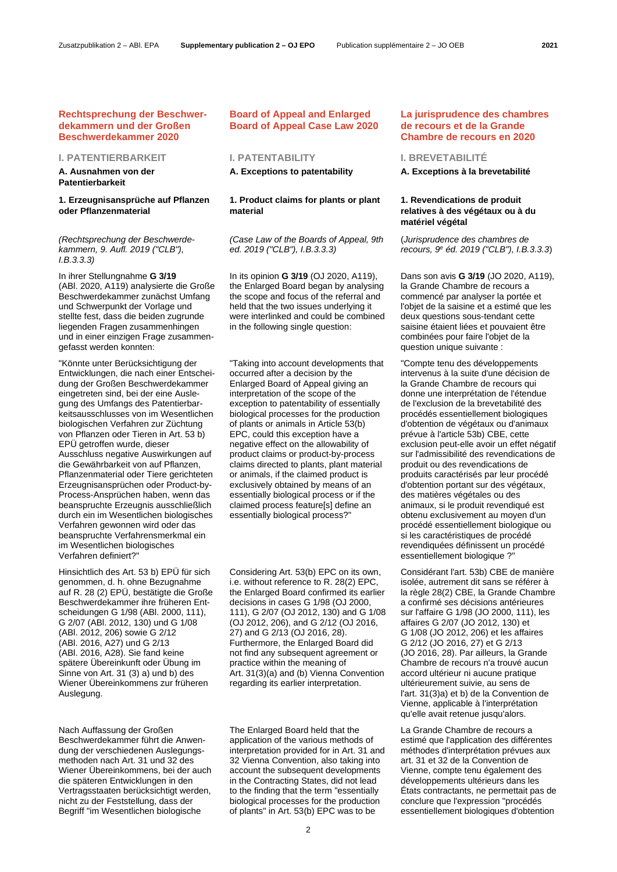# **Rechtsprechung der Beschwerdekammern und der Großen Beschwerdekammer 2020**

# **I. PATENTIERBARKEIT I. PATENTABILITY I. BREVETABILITÉ**

**A. Ausnahmen von der Patentierbarkeit**

# **1. Erzeugnisansprüche auf Pflanzen oder Pflanzenmaterial**

*(Rechtsprechung der Beschwerdekammern, 9. Aufl. 2019 ("CLB"), I.B.3.3.3)* 

In ihrer Stellungnahme **G 3/19** (ABl. 2020, A119) analysierte die Große Beschwerdekammer zunächst Umfang und Schwerpunkt der Vorlage und stellte fest, dass die beiden zugrunde liegenden Fragen zusammenhingen und in einer einzigen Frage zusammengefasst werden konnten:

"Könnte unter Berücksichtigung der Entwicklungen, die nach einer Entscheidung der Großen Beschwerdekammer eingetreten sind, bei der eine Auslegung des Umfangs des Patentierbarkeitsausschlusses von im Wesentlichen biologischen Verfahren zur Züchtung von Pflanzen oder Tieren in Art. 53 b) EPÜ getroffen wurde, dieser Ausschluss negative Auswirkungen auf die Gewährbarkeit von auf Pflanzen, Pflanzenmaterial oder Tiere gerichteten Erzeugnisansprüchen oder Product-by-Process-Ansprüchen haben, wenn das beanspruchte Erzeugnis ausschließlich durch ein im Wesentlichen biologisches Verfahren gewonnen wird oder das beanspruchte Verfahrensmerkmal ein im Wesentlichen biologisches Verfahren definiert?"

Hinsichtlich des Art. 53 b) EPÜ für sich genommen, d. h. ohne Bezugnahme auf R. 28 (2) EPÜ, bestätigte die Große Beschwerdekammer ihre früheren Entscheidungen G 1/98 (ABl. 2000, 111), G 2/07 (ABl. 2012, 130) und G 1/08 (ABl. 2012, 206) sowie G 2/12 (ABl. 2016, A27) und G 2/13 (ABl. 2016, A28). Sie fand keine spätere Übereinkunft oder Übung im Sinne von Art. 31 (3) a) und b) des Wiener Übereinkommens zur früheren Auslegung.

Nach Auffassung der Großen Beschwerdekammer führt die Anwendung der verschiedenen Auslegungsmethoden nach Art. 31 und 32 des Wiener Übereinkommens, bei der auch die späteren Entwicklungen in den Vertragsstaaten berücksichtigt werden, nicht zu der Feststellung, dass der Begriff "im Wesentlichen biologische

# **Board of Appeal and Enlarged Board of Appeal Case Law 2020**

# **1. Product claims for plants or plant material**

*(Case Law of the Boards of Appeal, 9th ed. 2019 ("CLB"), I.B.3.3.3)*

In its opinion **G 3/19** (OJ 2020, A119), the Enlarged Board began by analysing the scope and focus of the referral and held that the two issues underlying it were interlinked and could be combined in the following single question:

"Taking into account developments that occurred after a decision by the Enlarged Board of Appeal giving an interpretation of the scope of the exception to patentability of essentially biological processes for the production of plants or animals in Article 53(b) EPC, could this exception have a negative effect on the allowability of product claims or product-by-process claims directed to plants, plant material or animals, if the claimed product is exclusively obtained by means of an essentially biological process or if the claimed process feature[s] define an essentially biological process?"

Considering Art. 53(b) EPC on its own, i.e. without reference to R. 28(2) EPC, the Enlarged Board confirmed its earlier decisions in cases G 1/98 (OJ 2000, 111), G 2/07 (OJ 2012, 130) and G 1/08 (OJ 2012, 206), and G 2/12 (OJ 2016, 27) and G 2/13 (OJ 2016, 28). Furthermore, the Enlarged Board did not find any subsequent agreement or practice within the meaning of Art. 31(3)(a) and (b) Vienna Convention regarding its earlier interpretation.

The Enlarged Board held that the application of the various methods of interpretation provided for in Art. 31 and 32 Vienna Convention, also taking into account the subsequent developments in the Contracting States, did not lead to the finding that the term "essentially biological processes for the production of plants" in Art. 53(b) EPC was to be

# **La jurisprudence des chambres de recours et de la Grande Chambre de recours en 2020**

### **A. Exceptions to patentability A. Exceptions à la brevetabilité**

# **1. Revendications de produit relatives à des végétaux ou à du matériel végétal**

(*Jurisprudence des chambres de recours, 9e éd. 2019 ("CLB"), I.B.3.3.3*)

Dans son avis **G 3/19** (JO 2020, A119), la Grande Chambre de recours a commencé par analyser la portée et l'objet de la saisine et a estimé que les deux questions sous-tendant cette saisine étaient liées et pouvaient être combinées pour faire l'objet de la question unique suivante :

"Compte tenu des développements intervenus à la suite d'une décision de la Grande Chambre de recours qui donne une interprétation de l'étendue de l'exclusion de la brevetabilité des procédés essentiellement biologiques d'obtention de végétaux ou d'animaux prévue à l'article 53b) CBE, cette exclusion peut-elle avoir un effet négatif sur l'admissibilité des revendications de produit ou des revendications de produits caractérisés par leur procédé d'obtention portant sur des végétaux, des matières végétales ou des animaux, si le produit revendiqué est obtenu exclusivement au moyen d'un procédé essentiellement biologique ou si les caractéristiques de procédé revendiquées définissent un procédé essentiellement biologique ?"

Considérant l'art. 53b) CBE de manière isolée, autrement dit sans se référer à la règle 28(2) CBE, la Grande Chambre a confirmé ses décisions antérieures sur l'affaire G 1/98 (JO 2000, 111), les affaires G 2/07 (JO 2012, 130) et G 1/08 (JO 2012, 206) et les affaires G 2/12 (JO 2016, 27) et G 2/13 (JO 2016, 28). Par ailleurs, la Grande Chambre de recours n'a trouvé aucun accord ultérieur ni aucune pratique ultérieurement suivie, au sens de l'art. 31(3)a) et b) de la Convention de Vienne, applicable à l'interprétation qu'elle avait retenue jusqu'alors.

La Grande Chambre de recours a estimé que l'application des différentes méthodes d'interprétation prévues aux art. 31 et 32 de la Convention de Vienne, compte tenu également des développements ultérieurs dans les États contractants, ne permettait pas de conclure que l'expression "procédés essentiellement biologiques d'obtention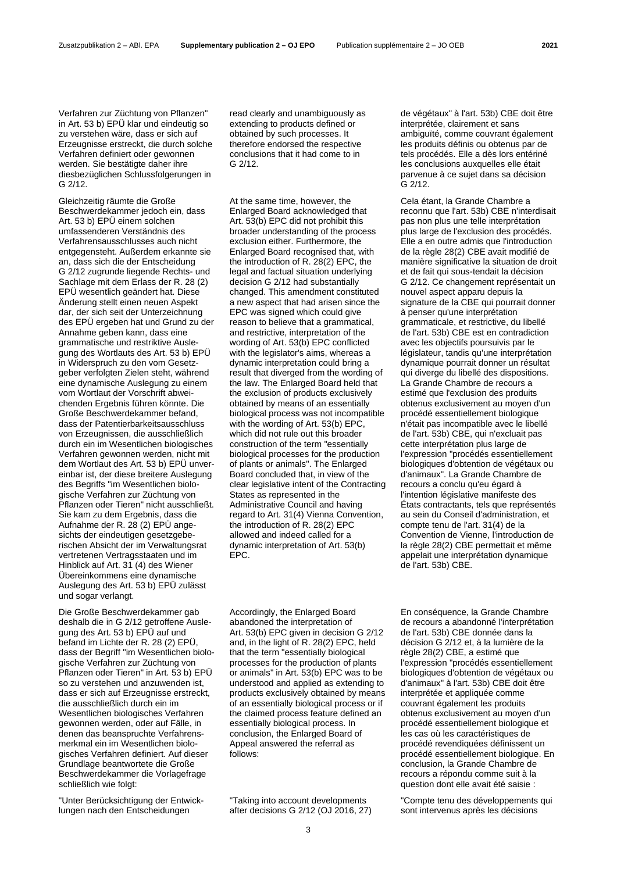Verfahren zur Züchtung von Pflanzen" in Art. 53 b) EPÜ klar und eindeutig so zu verstehen wäre, dass er sich auf Erzeugnisse erstreckt, die durch solche Verfahren definiert oder gewonnen werden. Sie bestätigte daher ihre diesbezüglichen Schlussfolgerungen in G 2/12.

Gleichzeitig räumte die Große Beschwerdekammer jedoch ein, dass Art. 53 b) EPÜ einem solchen umfassenderen Verständnis des Verfahrensausschlusses auch nicht entgegensteht. Außerdem erkannte sie an, dass sich die der Entscheidung G 2/12 zugrunde liegende Rechts- und Sachlage mit dem Erlass der R. 28 (2) EPÜ wesentlich geändert hat. Diese Änderung stellt einen neuen Aspekt dar, der sich seit der Unterzeichnung des EPÜ ergeben hat und Grund zu der Annahme geben kann, dass eine grammatische und restriktive Auslegung des Wortlauts des Art. 53 b) EPÜ in Widerspruch zu den vom Gesetzgeber verfolgten Zielen steht, während eine dynamische Auslegung zu einem vom Wortlaut der Vorschrift abweichenden Ergebnis führen könnte. Die Große Beschwerdekammer befand, dass der Patentierbarkeitsausschluss von Erzeugnissen, die ausschließlich durch ein im Wesentlichen biologisches Verfahren gewonnen werden, nicht mit dem Wortlaut des Art. 53 b) EPÜ unvereinbar ist, der diese breitere Auslegung des Begriffs "im Wesentlichen biologische Verfahren zur Züchtung von Pflanzen oder Tieren" nicht ausschließt. Sie kam zu dem Ergebnis, dass die Aufnahme der R. 28 (2) EPÜ angesichts der eindeutigen gesetzgeberischen Absicht der im Verwaltungsrat vertretenen Vertragsstaaten und im Hinblick auf Art. 31 (4) des Wiener Übereinkommens eine dynamische Auslegung des Art. 53 b) EPÜ zulässt und sogar verlangt.

Die Große Beschwerdekammer gab deshalb die in G 2/12 getroffene Auslegung des Art. 53 b) EPÜ auf und befand im Lichte der R. 28 (2) EPÜ, dass der Begriff "im Wesentlichen biologische Verfahren zur Züchtung von Pflanzen oder Tieren" in Art. 53 b) EPÜ so zu verstehen und anzuwenden ist, dass er sich auf Erzeugnisse erstreckt, die ausschließlich durch ein im Wesentlichen biologisches Verfahren gewonnen werden, oder auf Fälle, in denen das beanspruchte Verfahrensmerkmal ein im Wesentlichen biologisches Verfahren definiert. Auf dieser Grundlage beantwortete die Große Beschwerdekammer die Vorlagefrage schließlich wie folgt:

"Unter Berücksichtigung der Entwicklungen nach den Entscheidungen

read clearly and unambiguously as extending to products defined or obtained by such processes. It therefore endorsed the respective conclusions that it had come to in G 2/12.

At the same time, however, the Enlarged Board acknowledged that Art. 53(b) EPC did not prohibit this broader understanding of the process exclusion either. Furthermore, the Enlarged Board recognised that, with the introduction of R. 28(2) EPC, the legal and factual situation underlying decision G 2/12 had substantially changed. This amendment constituted a new aspect that had arisen since the EPC was signed which could give reason to believe that a grammatical, and restrictive, interpretation of the wording of Art. 53(b) EPC conflicted with the legislator's aims, whereas a dynamic interpretation could bring a result that diverged from the wording of the law. The Enlarged Board held that the exclusion of products exclusively obtained by means of an essentially biological process was not incompatible with the wording of Art. 53(b) EPC, which did not rule out this broader construction of the term "essentially biological processes for the production of plants or animals". The Enlarged Board concluded that, in view of the clear legislative intent of the Contracting States as represented in the Administrative Council and having regard to Art. 31(4) Vienna Convention, the introduction of R. 28(2) EPC allowed and indeed called for a dynamic interpretation of Art. 53(b) EPC.

Accordingly, the Enlarged Board abandoned the interpretation of Art. 53(b) EPC given in decision G 2/12 and, in the light of R. 28(2) EPC, held that the term "essentially biological processes for the production of plants or animals" in Art. 53(b) EPC was to be understood and applied as extending to products exclusively obtained by means of an essentially biological process or if the claimed process feature defined an essentially biological process. In conclusion, the Enlarged Board of Appeal answered the referral as follows:

"Taking into account developments after decisions G 2/12 (OJ 2016, 27) de végétaux" à l'art. 53b) CBE doit être interprétée, clairement et sans ambiguïté, comme couvrant également les produits définis ou obtenus par de tels procédés. Elle a dès lors entériné les conclusions auxquelles elle était parvenue à ce sujet dans sa décision G 2/12.

Cela étant, la Grande Chambre a reconnu que l'art. 53b) CBE n'interdisait pas non plus une telle interprétation plus large de l'exclusion des procédés. Elle a en outre admis que l'introduction de la règle 28(2) CBE avait modifié de manière significative la situation de droit et de fait qui sous-tendait la décision G 2/12. Ce changement représentait un nouvel aspect apparu depuis la signature de la CBE qui pourrait donner à penser qu'une interprétation grammaticale, et restrictive, du libellé de l'art. 53b) CBE est en contradiction avec les objectifs poursuivis par le législateur, tandis qu'une interprétation dynamique pourrait donner un résultat qui diverge du libellé des dispositions. La Grande Chambre de recours a estimé que l'exclusion des produits obtenus exclusivement au moyen d'un procédé essentiellement biologique n'était pas incompatible avec le libellé de l'art. 53b) CBE, qui n'excluait pas cette interprétation plus large de l'expression "procédés essentiellement biologiques d'obtention de végétaux ou d'animaux". La Grande Chambre de recours a conclu qu'eu égard à l'intention législative manifeste des États contractants, tels que représentés au sein du Conseil d'administration, et compte tenu de l'art. 31(4) de la Convention de Vienne, l'introduction de la règle 28(2) CBE permettait et même appelait une interprétation dynamique de l'art. 53b) CBE.

En conséquence, la Grande Chambre de recours a abandonné l'interprétation de l'art. 53b) CBE donnée dans la décision G 2/12 et, à la lumière de la règle 28(2) CBE, a estimé que l'expression "procédés essentiellement biologiques d'obtention de végétaux ou d'animaux" à l'art. 53b) CBE doit être interprétée et appliquée comme couvrant également les produits obtenus exclusivement au moyen d'un procédé essentiellement biologique et les cas où les caractéristiques de procédé revendiquées définissent un procédé essentiellement biologique. En conclusion, la Grande Chambre de recours a répondu comme suit à la question dont elle avait été saisie :

"Compte tenu des développements qui sont intervenus après les décisions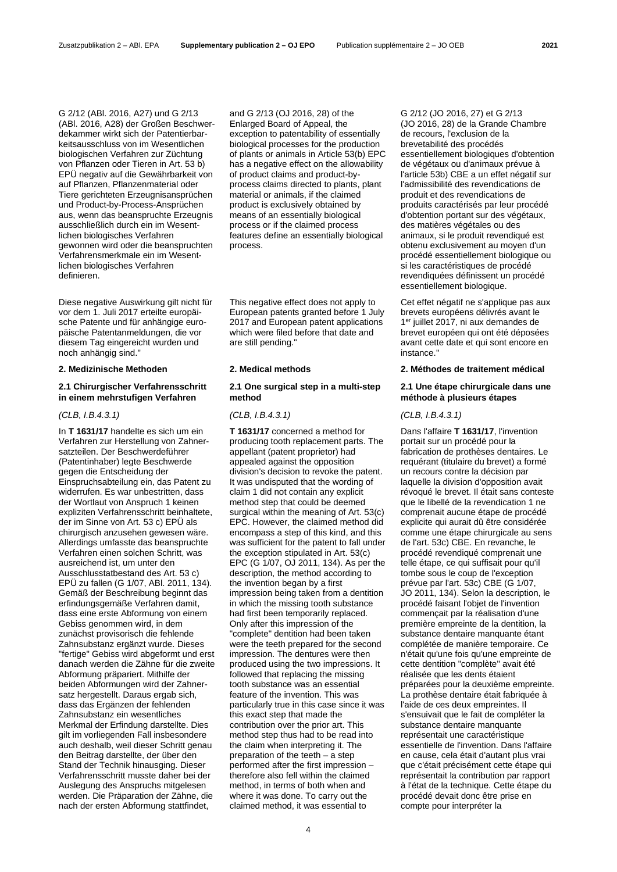G 2/12 (ABl. 2016, A27) und G 2/13 (ABl. 2016, A28) der Großen Beschwerdekammer wirkt sich der Patentierbarkeitsausschluss von im Wesentlichen biologischen Verfahren zur Züchtung von Pflanzen oder Tieren in Art. 53 b) EPÜ negativ auf die Gewährbarkeit von auf Pflanzen, Pflanzenmaterial oder Tiere gerichteten Erzeugnisansprüchen und Product-by-Process-Ansprüchen aus, wenn das beanspruchte Erzeugnis ausschließlich durch ein im Wesentlichen biologisches Verfahren gewonnen wird oder die beanspruchten Verfahrensmerkmale ein im Wesentlichen biologisches Verfahren definieren.

Diese negative Auswirkung gilt nicht für vor dem 1. Juli 2017 erteilte europäische Patente und für anhängige europäische Patentanmeldungen, die vor diesem Tag eingereicht wurden und noch anhängig sind."

### **2.1 Chirurgischer Verfahrensschritt in einem mehrstufigen Verfahren**

### *(CLB, I.B.4.3.1) (CLB, I.B.4.3.1) (CLB, I.B.4.3.1)*

In **T 1631/17** handelte es sich um ein Verfahren zur Herstellung von Zahnersatzteilen. Der Beschwerdeführer (Patentinhaber) legte Beschwerde gegen die Entscheidung der Einspruchsabteilung ein, das Patent zu widerrufen. Es war unbestritten, dass der Wortlaut von Anspruch 1 keinen expliziten Verfahrensschritt beinhaltete, der im Sinne von Art. 53 c) EPÜ als chirurgisch anzusehen gewesen wäre. Allerdings umfasste das beanspruchte Verfahren einen solchen Schritt, was ausreichend ist, um unter den Ausschlusstatbestand des Art. 53 c) EPÜ zu fallen (G 1/07, ABl. 2011, 134). Gemäß der Beschreibung beginnt das erfindungsgemäße Verfahren damit, dass eine erste Abformung von einem Gebiss genommen wird, in dem zunächst provisorisch die fehlende Zahnsubstanz ergänzt wurde. Dieses "fertige" Gebiss wird abgeformt und erst danach werden die Zähne für die zweite Abformung präpariert. Mithilfe der beiden Abformungen wird der Zahnersatz hergestellt. Daraus ergab sich, dass das Ergänzen der fehlenden Zahnsubstanz ein wesentliches Merkmal der Erfindung darstellte. Dies gilt im vorliegenden Fall insbesondere auch deshalb, weil dieser Schritt genau den Beitrag darstellte, der über den Stand der Technik hinausging. Dieser Verfahrensschritt musste daher bei der Auslegung des Anspruchs mitgelesen werden. Die Präparation der Zähne, die nach der ersten Abformung stattfindet,

and G 2/13 (OJ 2016, 28) of the Enlarged Board of Appeal, the exception to patentability of essentially biological processes for the production of plants or animals in Article 53(b) EPC has a negative effect on the allowability of product claims and product-byprocess claims directed to plants, plant material or animals, if the claimed product is exclusively obtained by means of an essentially biological process or if the claimed process features define an essentially biological process.

This negative effect does not apply to European patents granted before 1 July 2017 and European patent applications which were filed before that date and are still pending."

# **2.1 One surgical step in a multi-step method**

**T 1631/17** concerned a method for producing tooth replacement parts. The appellant (patent proprietor) had appealed against the opposition division's decision to revoke the patent. It was undisputed that the wording of claim 1 did not contain any explicit method step that could be deemed surgical within the meaning of Art. 53(c) EPC. However, the claimed method did encompass a step of this kind, and this was sufficient for the patent to fall under the exception stipulated in Art. 53(c) EPC (G 1/07, OJ 2011, 134). As per the description, the method according to the invention began by a first impression being taken from a dentition in which the missing tooth substance had first been temporarily replaced. Only after this impression of the "complete" dentition had been taken were the teeth prepared for the second impression. The dentures were then produced using the two impressions. It followed that replacing the missing tooth substance was an essential feature of the invention. This was particularly true in this case since it was this exact step that made the contribution over the prior art. This method step thus had to be read into the claim when interpreting it. The preparation of the teeth – a step performed after the first impression – therefore also fell within the claimed method, in terms of both when and where it was done. To carry out the claimed method, it was essential to

G 2/12 (JO 2016, 27) et G 2/13 (JO 2016, 28) de la Grande Chambre de recours, l'exclusion de la brevetabilité des procédés essentiellement biologiques d'obtention de végétaux ou d'animaux prévue à l'article 53b) CBE a un effet négatif sur l'admissibilité des revendications de produit et des revendications de produits caractérisés par leur procédé d'obtention portant sur des végétaux, des matières végétales ou des animaux, si le produit revendiqué est obtenu exclusivement au moyen d'un procédé essentiellement biologique ou si les caractéristiques de procédé revendiquées définissent un procédé essentiellement biologique.

Cet effet négatif ne s'applique pas aux brevets européens délivrés avant le 1<sup>er</sup> juillet 2017, ni aux demandes de brevet européen qui ont été déposées avant cette date et qui sont encore en instance."

# **2. Medizinische Methoden 2. Medical methods 2. Méthodes de traitement médical**

### **2.1 Une étape chirurgicale dans une méthode à plusieurs étapes**

Dans l'affaire **T 1631/17**, l'invention portait sur un procédé pour la fabrication de prothèses dentaires. Le requérant (titulaire du brevet) a formé un recours contre la décision par laquelle la division d'opposition avait révoqué le brevet. Il était sans conteste que le libellé de la revendication 1 ne comprenait aucune étape de procédé explicite qui aurait dû être considérée comme une étape chirurgicale au sens de l'art. 53c) CBE. En revanche, le procédé revendiqué comprenait une telle étape, ce qui suffisait pour qu'il tombe sous le coup de l'exception prévue par l'art. 53c) CBE (G 1/07, JO 2011, 134). Selon la description, le procédé faisant l'objet de l'invention commençait par la réalisation d'une première empreinte de la dentition, la substance dentaire manquante étant complétée de manière temporaire. Ce n'était qu'une fois qu'une empreinte de cette dentition "complète" avait été réalisée que les dents étaient préparées pour la deuxième empreinte. La prothèse dentaire était fabriquée à l'aide de ces deux empreintes. Il s'ensuivait que le fait de compléter la substance dentaire manquante représentait une caractéristique essentielle de l'invention. Dans l'affaire en cause, cela était d'autant plus vrai que c'était précisément cette étape qui représentait la contribution par rapport à l'état de la technique. Cette étape du procédé devait donc être prise en compte pour interpréter la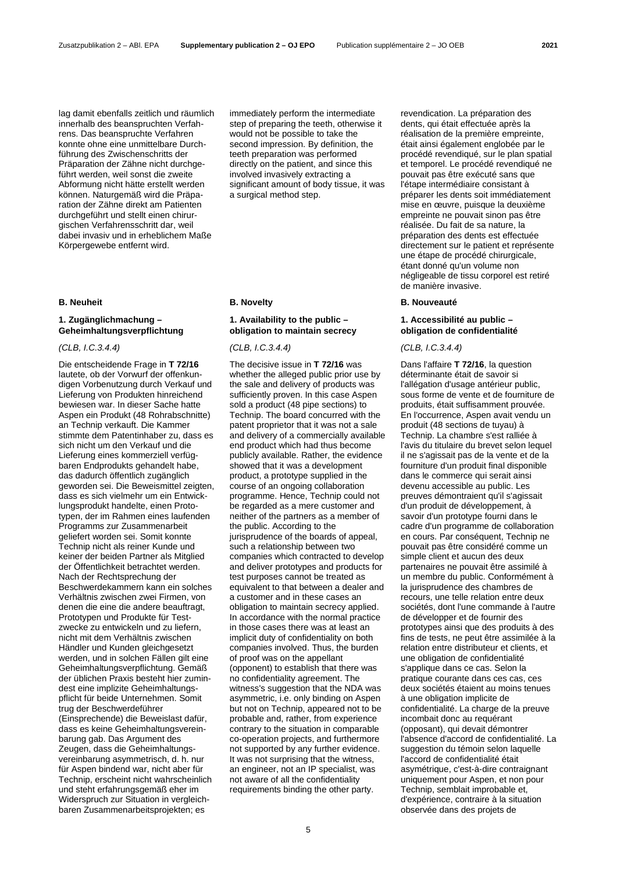lag damit ebenfalls zeitlich und räumlich innerhalb des beanspruchten Verfahrens. Das beanspruchte Verfahren konnte ohne eine unmittelbare Durchführung des Zwischenschritts der Präparation der Zähne nicht durchgeführt werden, weil sonst die zweite Abformung nicht hätte erstellt werden können. Naturgemäß wird die Präparation der Zähne direkt am Patienten durchgeführt und stellt einen chirurgischen Verfahrensschritt dar, weil dabei invasiv und in erheblichem Maße Körpergewebe entfernt wird.

# **1. Zugänglichmachung – Geheimhaltungsverpflichtung**

# *(CLB, I.C.3.4.4) (CLB, I.C.3.4.4) (CLB, I.C.3.4.4)*

Die entscheidende Frage in **T 72/16** lautete, ob der Vorwurf der offenkundigen Vorbenutzung durch Verkauf und Lieferung von Produkten hinreichend bewiesen war. In dieser Sache hatte Aspen ein Produkt (48 Rohrabschnitte) an Technip verkauft. Die Kammer stimmte dem Patentinhaber zu, dass es sich nicht um den Verkauf und die Lieferung eines kommerziell verfügbaren Endprodukts gehandelt habe, das dadurch öffentlich zugänglich geworden sei. Die Beweismittel zeigten, dass es sich vielmehr um ein Entwicklungsprodukt handelte, einen Prototypen, der im Rahmen eines laufenden Programms zur Zusammenarbeit geliefert worden sei. Somit konnte Technip nicht als reiner Kunde und keiner der beiden Partner als Mitglied der Öffentlichkeit betrachtet werden. Nach der Rechtsprechung der Beschwerdekammern kann ein solches Verhältnis zwischen zwei Firmen, von denen die eine die andere beauftragt, Prototypen und Produkte für Testzwecke zu entwickeln und zu liefern, nicht mit dem Verhältnis zwischen Händler und Kunden gleichgesetzt werden, und in solchen Fällen gilt eine Geheimhaltungsverpflichtung. Gemäß der üblichen Praxis besteht hier zumindest eine implizite Geheimhaltungspflicht für beide Unternehmen. Somit trug der Beschwerdeführer (Einsprechende) die Beweislast dafür, dass es keine Geheimhaltungsvereinbarung gab. Das Argument des Zeugen, dass die Geheimhaltungsvereinbarung asymmetrisch, d. h. nur für Aspen bindend war, nicht aber für Technip, erscheint nicht wahrscheinlich und steht erfahrungsgemäß eher im Widerspruch zur Situation in vergleichbaren Zusammenarbeitsprojekten; es

immediately perform the intermediate step of preparing the teeth, otherwise it would not be possible to take the second impression. By definition, the teeth preparation was performed directly on the patient, and since this involved invasively extracting a significant amount of body tissue, it was a surgical method step.

# **1. Availability to the public – obligation to maintain secrecy**

The decisive issue in **T 72/16** was whether the alleged public prior use by the sale and delivery of products was sufficiently proven. In this case Aspen sold a product (48 pipe sections) to Technip. The board concurred with the patent proprietor that it was not a sale and delivery of a commercially available end product which had thus become publicly available. Rather, the evidence showed that it was a development product, a prototype supplied in the course of an ongoing collaboration programme. Hence, Technip could not be regarded as a mere customer and neither of the partners as a member of the public. According to the jurisprudence of the boards of appeal, such a relationship between two companies which contracted to develop and deliver prototypes and products for test purposes cannot be treated as equivalent to that between a dealer and a customer and in these cases an obligation to maintain secrecy applied. In accordance with the normal practice in those cases there was at least an implicit duty of confidentiality on both companies involved. Thus, the burden of proof was on the appellant (opponent) to establish that there was no confidentiality agreement. The witness's suggestion that the NDA was asymmetric, i.e. only binding on Aspen but not on Technip, appeared not to be probable and, rather, from experience contrary to the situation in comparable co-operation projects, and furthermore not supported by any further evidence. It was not surprising that the witness, an engineer, not an IP specialist, was not aware of all the confidentiality requirements binding the other party.

revendication. La préparation des dents, qui était effectuée après la réalisation de la première empreinte, était ainsi également englobée par le procédé revendiqué, sur le plan spatial et temporel. Le procédé revendiqué ne pouvait pas être exécuté sans que l'étape intermédiaire consistant à préparer les dents soit immédiatement mise en œuvre, puisque la deuxième empreinte ne pouvait sinon pas être réalisée. Du fait de sa nature, la préparation des dents est effectuée directement sur le patient et représente une étape de procédé chirurgicale, étant donné qu'un volume non négligeable de tissu corporel est retiré de manière invasive.

# **B. Neuheit B. Novelty B. Nouveauté**

### **1. Accessibilité au public – obligation de confidentialité**

Dans l'affaire **T 72/16**, la question déterminante était de savoir si l'allégation d'usage antérieur public, sous forme de vente et de fourniture de produits, était suffisamment prouvée. En l'occurrence, Aspen avait vendu un produit (48 sections de tuyau) à Technip. La chambre s'est ralliée à l'avis du titulaire du brevet selon lequel il ne s'agissait pas de la vente et de la fourniture d'un produit final disponible dans le commerce qui serait ainsi devenu accessible au public. Les preuves démontraient qu'il s'agissait d'un produit de développement, à savoir d'un prototype fourni dans le cadre d'un programme de collaboration en cours. Par conséquent, Technip ne pouvait pas être considéré comme un simple client et aucun des deux partenaires ne pouvait être assimilé à un membre du public. Conformément à la jurisprudence des chambres de recours, une telle relation entre deux sociétés, dont l'une commande à l'autre de développer et de fournir des prototypes ainsi que des produits à des fins de tests, ne peut être assimilée à la relation entre distributeur et clients, et une obligation de confidentialité s'applique dans ce cas. Selon la pratique courante dans ces cas, ces deux sociétés étaient au moins tenues à une obligation implicite de confidentialité. La charge de la preuve incombait donc au requérant (opposant), qui devait démontrer l'absence d'accord de confidentialité. La suggestion du témoin selon laquelle l'accord de confidentialité était asymétrique, c'est-à-dire contraignant uniquement pour Aspen, et non pour Technip, semblait improbable et, d'expérience, contraire à la situation observée dans des projets de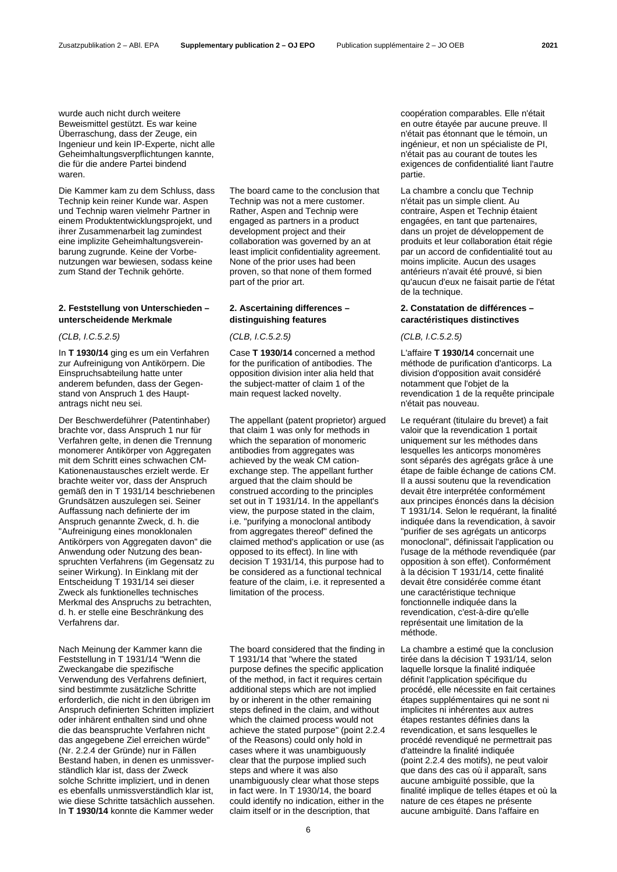wurde auch nicht durch weitere Beweismittel gestützt. Es war keine Überraschung, dass der Zeuge, ein Ingenieur und kein IP-Experte, nicht alle Geheimhaltungsverpflichtungen kannte, die für die andere Partei bindend waren.

Die Kammer kam zu dem Schluss, dass Technip kein reiner Kunde war. Aspen und Technip waren vielmehr Partner in einem Produktentwicklungsprojekt, und ihrer Zusammenarbeit lag zumindest eine implizite Geheimhaltungsvereinbarung zugrunde. Keine der Vorbenutzungen war bewiesen, sodass keine zum Stand der Technik gehörte.

### **2. Feststellung von Unterschieden – unterscheidende Merkmale**

In **T 1930/14** ging es um ein Verfahren zur Aufreinigung von Antikörpern. Die Einspruchsabteilung hatte unter anderem befunden, dass der Gegenstand von Anspruch 1 des Hauptantrags nicht neu sei.

Der Beschwerdeführer (Patentinhaber) brachte vor, dass Anspruch 1 nur für Verfahren gelte, in denen die Trennung monomerer Antikörper von Aggregaten mit dem Schritt eines schwachen CM-Kationenaustausches erzielt werde. Er brachte weiter vor, dass der Anspruch gemäß den in T 1931/14 beschriebenen Grundsätzen auszulegen sei. Seiner Auffassung nach definierte der im Anspruch genannte Zweck, d. h. die "Aufreinigung eines monoklonalen Antikörpers von Aggregaten davon" die Anwendung oder Nutzung des beanspruchten Verfahrens (im Gegensatz zu seiner Wirkung). In Einklang mit der Entscheidung T 1931/14 sei dieser Zweck als funktionelles technisches Merkmal des Anspruchs zu betrachten, d. h. er stelle eine Beschränkung des Verfahrens dar.

Nach Meinung der Kammer kann die Feststellung in T 1931/14 "Wenn die Zweckangabe die spezifische Verwendung des Verfahrens definiert, sind bestimmte zusätzliche Schritte erforderlich, die nicht in den übrigen im Anspruch definierten Schritten impliziert oder inhärent enthalten sind und ohne die das beanspruchte Verfahren nicht das angegebene Ziel erreichen würde" (Nr. 2.2.4 der Gründe) nur in Fällen Bestand haben, in denen es unmissverständlich klar ist, dass der Zweck solche Schritte impliziert, und in denen es ebenfalls unmissverständlich klar ist, wie diese Schritte tatsächlich aussehen. In **T 1930/14** konnte die Kammer weder

The board came to the conclusion that Technip was not a mere customer. Rather, Aspen and Technip were engaged as partners in a product development project and their collaboration was governed by an at least implicit confidentiality agreement. None of the prior uses had been proven, so that none of them formed part of the prior art.

# **2. Ascertaining differences – distinguishing features**

*(CLB, I.C.5.2.5) (CLB, I.C.5.2.5) (CLB, I.C.5.2.5)*

Case **T 1930/14** concerned a method for the purification of antibodies. The opposition division inter alia held that the subject-matter of claim 1 of the main request lacked novelty.

The appellant (patent proprietor) argued that claim 1 was only for methods in which the separation of monomeric antibodies from aggregates was achieved by the weak CM cationexchange step. The appellant further argued that the claim should be construed according to the principles set out in T 1931/14. In the appellant's view, the purpose stated in the claim, i.e. "purifying a monoclonal antibody from aggregates thereof" defined the claimed method's application or use (as opposed to its effect). In line with decision T 1931/14, this purpose had to be considered as a functional technical feature of the claim, i.e. it represented a limitation of the process.

The board considered that the finding in T 1931/14 that "where the stated purpose defines the specific application of the method, in fact it requires certain additional steps which are not implied by or inherent in the other remaining steps defined in the claim, and without which the claimed process would not achieve the stated purpose" (point 2.2.4 of the Reasons) could only hold in cases where it was unambiguously clear that the purpose implied such steps and where it was also unambiguously clear what those steps in fact were. In T 1930/14, the board could identify no indication, either in the claim itself or in the description, that

coopération comparables. Elle n'était en outre étayée par aucune preuve. Il n'était pas étonnant que le témoin, un ingénieur, et non un spécialiste de PI, n'était pas au courant de toutes les exigences de confidentialité liant l'autre partie.

La chambre a conclu que Technip n'était pas un simple client. Au contraire, Aspen et Technip étaient engagées, en tant que partenaires, dans un projet de développement de produits et leur collaboration était régie par un accord de confidentialité tout au moins implicite. Aucun des usages antérieurs n'avait été prouvé, si bien qu'aucun d'eux ne faisait partie de l'état de la technique.

# **2. Constatation de différences – caractéristiques distinctives**

L'affaire **T 1930/14** concernait une méthode de purification d'anticorps. La division d'opposition avait considéré notamment que l'objet de la revendication 1 de la requête principale n'était pas nouveau.

Le requérant (titulaire du brevet) a fait valoir que la revendication 1 portait uniquement sur les méthodes dans lesquelles les anticorps monomères sont séparés des agrégats grâce à une étape de faible échange de cations CM. Il a aussi soutenu que la revendication devait être interprétée conformément aux principes énoncés dans la décision T 1931/14. Selon le requérant, la finalité indiquée dans la revendication, à savoir "purifier de ses agrégats un anticorps monoclonal", définissait l'application ou l'usage de la méthode revendiquée (par opposition à son effet). Conformément à la décision T 1931/14, cette finalité devait être considérée comme étant une caractéristique technique fonctionnelle indiquée dans la revendication, c'est-à-dire qu'elle représentait une limitation de la méthode.

La chambre a estimé que la conclusion tirée dans la décision T 1931/14, selon laquelle lorsque la finalité indiquée définit l'application spécifique du procédé, elle nécessite en fait certaines étapes supplémentaires qui ne sont ni implicites ni inhérentes aux autres étapes restantes définies dans la revendication, et sans lesquelles le procédé revendiqué ne permettrait pas d'atteindre la finalité indiquée (point 2.2.4 des motifs), ne peut valoir que dans des cas où il apparaît, sans aucune ambiguïté possible, que la finalité implique de telles étapes et où la nature de ces étapes ne présente aucune ambiguïté. Dans l'affaire en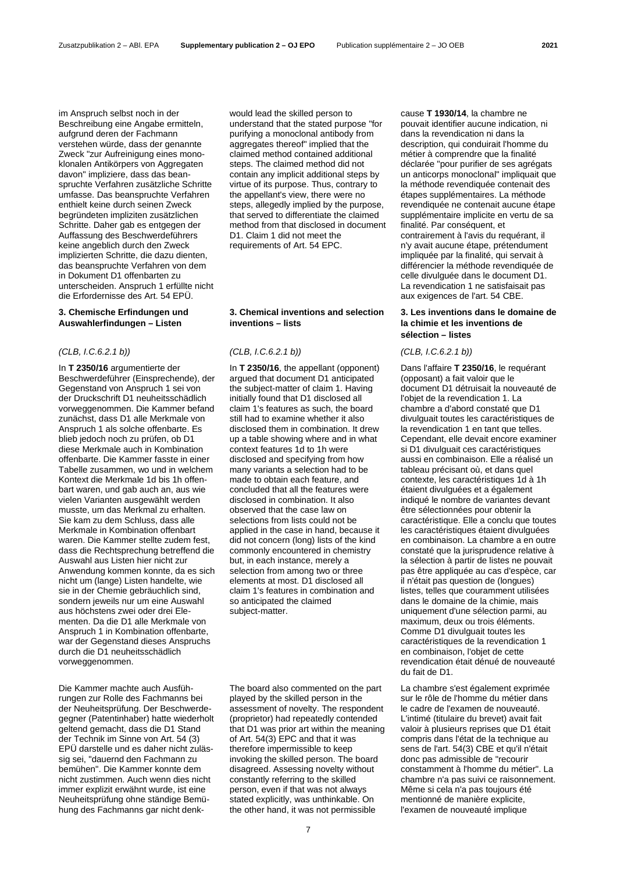im Anspruch selbst noch in der Beschreibung eine Angabe ermitteln, aufgrund deren der Fachmann verstehen würde, dass der genannte Zweck "zur Aufreinigung eines monoklonalen Antikörpers von Aggregaten davon" impliziere, dass das beanspruchte Verfahren zusätzliche Schritte umfasse. Das beanspruchte Verfahren enthielt keine durch seinen Zweck begründeten impliziten zusätzlichen Schritte. Daher gab es entgegen der Auffassung des Beschwerdeführers keine angeblich durch den Zweck implizierten Schritte, die dazu dienten, das beanspruchte Verfahren von dem in Dokument D1 offenbarten zu unterscheiden. Anspruch 1 erfüllte nicht die Erfordernisse des Art. 54 EPÜ.

# **3. Chemische Erfindungen und Auswahlerfindungen – Listen**

In **T 2350/16** argumentierte der Beschwerdeführer (Einsprechende), der Gegenstand von Anspruch 1 sei von der Druckschrift D1 neuheitsschädlich vorweggenommen. Die Kammer befand zunächst, dass D1 alle Merkmale von Anspruch 1 als solche offenbarte. Es blieb jedoch noch zu prüfen, ob D1 diese Merkmale auch in Kombination offenbarte. Die Kammer fasste in einer Tabelle zusammen, wo und in welchem Kontext die Merkmale 1d bis 1h offenbart waren, und gab auch an, aus wie vielen Varianten ausgewählt werden musste, um das Merkmal zu erhalten. Sie kam zu dem Schluss, dass alle Merkmale in Kombination offenbart waren. Die Kammer stellte zudem fest, dass die Rechtsprechung betreffend die Auswahl aus Listen hier nicht zur Anwendung kommen konnte, da es sich nicht um (lange) Listen handelte, wie sie in der Chemie gebräuchlich sind, sondern jeweils nur um eine Auswahl aus höchstens zwei oder drei Elementen. Da die D1 alle Merkmale von Anspruch 1 in Kombination offenbarte, war der Gegenstand dieses Anspruchs durch die D1 neuheitsschädlich vorweggenommen.

Die Kammer machte auch Ausführungen zur Rolle des Fachmanns bei der Neuheitsprüfung. Der Beschwerdegegner (Patentinhaber) hatte wiederholt geltend gemacht, dass die D1 Stand der Technik im Sinne von Art. 54 (3) EPÜ darstelle und es daher nicht zulässig sei, "dauernd den Fachmann zu bemühen". Die Kammer konnte dem nicht zustimmen. Auch wenn dies nicht immer explizit erwähnt wurde, ist eine Neuheitsprüfung ohne ständige Bemühung des Fachmanns gar nicht denkwould lead the skilled person to understand that the stated purpose "for purifying a monoclonal antibody from aggregates thereof" implied that the claimed method contained additional steps. The claimed method did not contain any implicit additional steps by virtue of its purpose. Thus, contrary to the appellant's view, there were no steps, allegedly implied by the purpose, that served to differentiate the claimed method from that disclosed in document D1. Claim 1 did not meet the requirements of Art. 54 EPC.

# **3. Chemical inventions and selection inventions – lists**

# *(CLB, I.C.6.2.1 b)) (CLB, I.C.6.2.1 b)) (CLB, I.C.6.2.1 b))*

In **T 2350/16**, the appellant (opponent) argued that document D1 anticipated the subject-matter of claim 1. Having initially found that D1 disclosed all claim 1's features as such, the board still had to examine whether it also disclosed them in combination. It drew up a table showing where and in what context features 1d to 1h were disclosed and specifying from how many variants a selection had to be made to obtain each feature, and concluded that all the features were disclosed in combination. It also observed that the case law on selections from lists could not be applied in the case in hand, because it did not concern (long) lists of the kind commonly encountered in chemistry but, in each instance, merely a selection from among two or three elements at most. D1 disclosed all claim 1's features in combination and so anticipated the claimed subject-matter.

The board also commented on the part played by the skilled person in the assessment of novelty. The respondent (proprietor) had repeatedly contended that D1 was prior art within the meaning of Art. 54(3) EPC and that it was therefore impermissible to keep invoking the skilled person. The board disagreed. Assessing novelty without constantly referring to the skilled person, even if that was not always stated explicitly, was unthinkable. On the other hand, it was not permissible

cause **T 1930/14**, la chambre ne pouvait identifier aucune indication, ni dans la revendication ni dans la description, qui conduirait l'homme du métier à comprendre que la finalité déclarée "pour purifier de ses agrégats un anticorps monoclonal" impliquait que la méthode revendiquée contenait des étapes supplémentaires. La méthode revendiquée ne contenait aucune étape supplémentaire implicite en vertu de sa finalité. Par conséquent, et contrairement à l'avis du requérant, il n'y avait aucune étape, prétendument impliquée par la finalité, qui servait à différencier la méthode revendiquée de celle divulguée dans le document D1. La revendication 1 ne satisfaisait pas aux exigences de l'art. 54 CBE.

# **3. Les inventions dans le domaine de la chimie et les inventions de sélection – listes**

Dans l'affaire **T 2350/16**, le requérant (opposant) a fait valoir que le document D1 détruisait la nouveauté de l'objet de la revendication 1. La chambre a d'abord constaté que D1 divulguait toutes les caractéristiques de la revendication 1 en tant que telles. Cependant, elle devait encore examiner si D1 divulguait ces caractéristiques aussi en combinaison. Elle a réalisé un tableau précisant où, et dans quel contexte, les caractéristiques 1d à 1h étaient divulguées et a également indiqué le nombre de variantes devant être sélectionnées pour obtenir la caractéristique. Elle a conclu que toutes les caractéristiques étaient divulguées en combinaison. La chambre a en outre constaté que la jurisprudence relative à la sélection à partir de listes ne pouvait pas être appliquée au cas d'espèce, car il n'était pas question de (longues) listes, telles que couramment utilisées dans le domaine de la chimie, mais uniquement d'une sélection parmi, au maximum, deux ou trois éléments. Comme D1 divulguait toutes les caractéristiques de la revendication 1 en combinaison, l'objet de cette revendication était dénué de nouveauté du fait de D1.

La chambre s'est également exprimée sur le rôle de l'homme du métier dans le cadre de l'examen de nouveauté. L'intimé (titulaire du brevet) avait fait valoir à plusieurs reprises que D1 était compris dans l'état de la technique au sens de l'art. 54(3) CBE et qu'il n'était donc pas admissible de "recourir constamment à l'homme du métier". La chambre n'a pas suivi ce raisonnement. Même si cela n'a pas toujours été mentionné de manière explicite, l'examen de nouveauté implique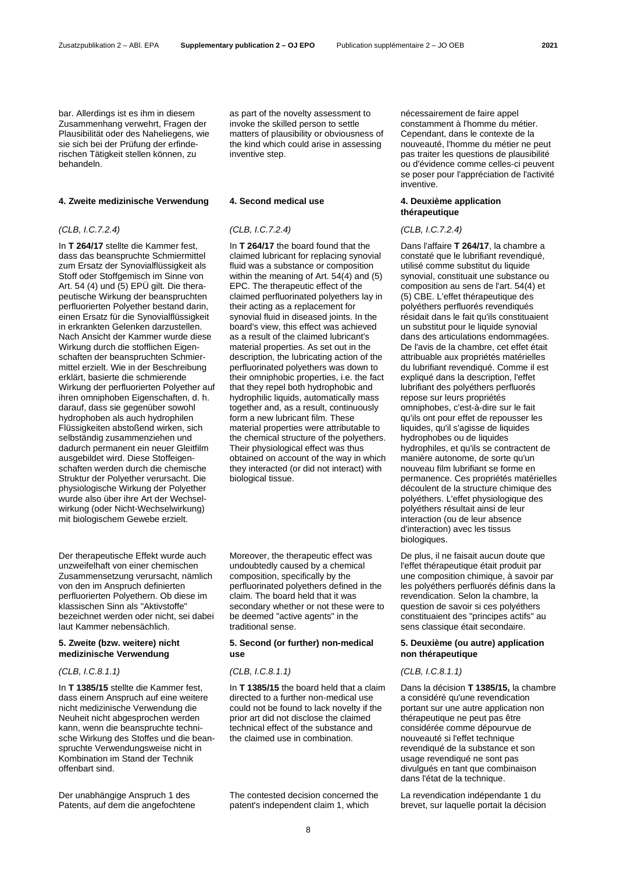bar. Allerdings ist es ihm in diesem Zusammenhang verwehrt, Fragen der Plausibilität oder des Naheliegens, wie sie sich bei der Prüfung der erfinderischen Tätigkeit stellen können, zu behandeln.

# **4. Zweite medizinische Verwendung 4. Second medical use 4. Deuxième application**

# *(CLB, I.C.7.2.4) (CLB, I.C.7.2.4) (CLB, I.C.7.2.4)*

In **T 264/17** stellte die Kammer fest, dass das beanspruchte Schmiermittel zum Ersatz der Synovialflüssigkeit als Stoff oder Stoffgemisch im Sinne von Art. 54 (4) und (5) EPÜ gilt. Die therapeutische Wirkung der beanspruchten perfluorierten Polyether bestand darin, einen Ersatz für die Synovialflüssigkeit in erkrankten Gelenken darzustellen. Nach Ansicht der Kammer wurde diese Wirkung durch die stofflichen Eigenschaften der beanspruchten Schmiermittel erzielt. Wie in der Beschreibung erklärt, basierte die schmierende Wirkung der perfluorierten Polyether auf ihren omniphoben Eigenschaften, d. h. darauf, dass sie gegenüber sowohl hydrophoben als auch hydrophilen Flüssigkeiten abstoßend wirken, sich selbständig zusammenziehen und dadurch permanent ein neuer Gleitfilm ausgebildet wird. Diese Stoffeigenschaften werden durch die chemische Struktur der Polyether verursacht. Die physiologische Wirkung der Polyether wurde also über ihre Art der Wechselwirkung (oder Nicht-Wechselwirkung) mit biologischem Gewebe erzielt.

Der therapeutische Effekt wurde auch unzweifelhaft von einer chemischen Zusammensetzung verursacht, nämlich von den im Anspruch definierten perfluorierten Polyethern. Ob diese im klassischen Sinn als "Aktivstoffe" bezeichnet werden oder nicht, sei dabei laut Kammer nebensächlich.

# **5. Zweite (bzw. weitere) nicht medizinische Verwendung**

*(CLB, I.C.8.1.1) (CLB, I.C.8.1.1) (CLB, I.C.8.1.1)*

In **T 1385/15** stellte die Kammer fest, dass einem Anspruch auf eine weitere nicht medizinische Verwendung die Neuheit nicht abgesprochen werden kann, wenn die beanspruchte technische Wirkung des Stoffes und die beanspruchte Verwendungsweise nicht in Kombination im Stand der Technik offenbart sind.

Der unabhängige Anspruch 1 des Patents, auf dem die angefochtene as part of the novelty assessment to invoke the skilled person to settle matters of plausibility or obviousness of the kind which could arise in assessing inventive step.

In **T 264/17** the board found that the claimed lubricant for replacing synovial fluid was a substance or composition within the meaning of Art. 54(4) and (5) EPC. The therapeutic effect of the claimed perfluorinated polyethers lay in their acting as a replacement for synovial fluid in diseased joints. In the board's view, this effect was achieved as a result of the claimed lubricant's material properties. As set out in the description, the lubricating action of the perfluorinated polyethers was down to their omniphobic properties, i.e. the fact that they repel both hydrophobic and hydrophilic liquids, automatically mass together and, as a result, continuously form a new lubricant film. These material properties were attributable to the chemical structure of the polyethers. Their physiological effect was thus obtained on account of the way in which they interacted (or did not interact) with biological tissue.

Moreover, the therapeutic effect was undoubtedly caused by a chemical composition, specifically by the perfluorinated polyethers defined in the claim. The board held that it was secondary whether or not these were to be deemed "active agents" in the traditional sense.

### **5. Second (or further) non-medical use**

In **T 1385/15** the board held that a claim directed to a further non-medical use could not be found to lack novelty if the prior art did not disclose the claimed technical effect of the substance and the claimed use in combination.

The contested decision concerned the patent's independent claim 1, which

nécessairement de faire appel constamment à l'homme du métier. Cependant, dans le contexte de la nouveauté, l'homme du métier ne peut pas traiter les questions de plausibilité ou d'évidence comme celles-ci peuvent se poser pour l'appréciation de l'activité inventive.

# **thérapeutique**

Dans l'affaire **T 264/17**, la chambre a constaté que le lubrifiant revendiqué, utilisé comme substitut du liquide synovial, constituait une substance ou composition au sens de l'art. 54(4) et (5) CBE. L'effet thérapeutique des polyéthers perfluorés revendiqués résidait dans le fait qu'ils constituaient un substitut pour le liquide synovial dans des articulations endommagées. De l'avis de la chambre, cet effet était attribuable aux propriétés matérielles du lubrifiant revendiqué. Comme il est expliqué dans la description, l'effet lubrifiant des polyéthers perfluorés repose sur leurs propriétés omniphobes, c'est-à-dire sur le fait qu'ils ont pour effet de repousser les liquides, qu'il s'agisse de liquides hydrophobes ou de liquides hydrophiles, et qu'ils se contractent de manière autonome, de sorte qu'un nouveau film lubrifiant se forme en permanence. Ces propriétés matérielles découlent de la structure chimique des polyéthers. L'effet physiologique des polyéthers résultait ainsi de leur interaction (ou de leur absence d'interaction) avec les tissus biologiques.

De plus, il ne faisait aucun doute que l'effet thérapeutique était produit par une composition chimique, à savoir par les polyéthers perfluorés définis dans la revendication. Selon la chambre, la question de savoir si ces polyéthers constituaient des "principes actifs" au sens classique était secondaire.

# **5. Deuxième (ou autre) application non thérapeutique**

Dans la décision **T 1385/15,** la chambre a considéré qu'une revendication portant sur une autre application non thérapeutique ne peut pas être considérée comme dépourvue de nouveauté si l'effet technique revendiqué de la substance et son usage revendiqué ne sont pas divulgués en tant que combinaison dans l'état de la technique.

La revendication indépendante 1 du brevet, sur laquelle portait la décision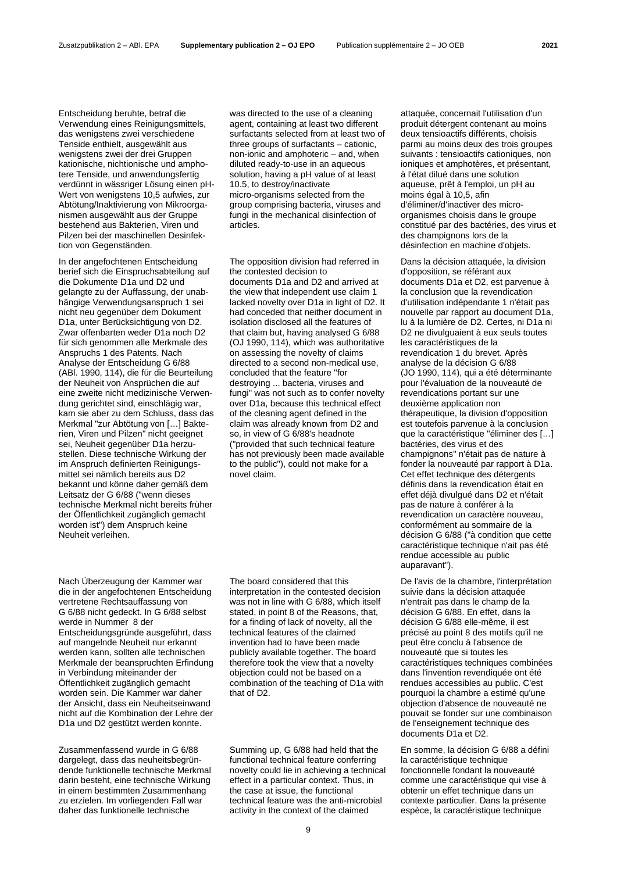Entscheidung beruhte, betraf die Verwendung eines Reinigungsmittels, das wenigstens zwei verschiedene Tenside enthielt, ausgewählt aus wenigstens zwei der drei Gruppen kationische, nichtionische und amphotere Tenside, und anwendungsfertig verdünnt in wässriger Lösung einen pH-Wert von wenigstens 10,5 aufwies, zur Abtötung/Inaktivierung von Mikroorganismen ausgewählt aus der Gruppe bestehend aus Bakterien, Viren und Pilzen bei der maschinellen Desinfektion von Gegenständen.

In der angefochtenen Entscheidung berief sich die Einspruchsabteilung auf die Dokumente D1a und D2 und gelangte zu der Auffassung, der unabhängige Verwendungsanspruch 1 sei nicht neu gegenüber dem Dokument D1a, unter Berücksichtigung von D2. Zwar offenbarten weder D1a noch D2 für sich genommen alle Merkmale des Anspruchs 1 des Patents. Nach Analyse der Entscheidung G 6/88 (ABl. 1990, 114), die für die Beurteilung der Neuheit von Ansprüchen die auf eine zweite nicht medizinische Verwendung gerichtet sind, einschlägig war, kam sie aber zu dem Schluss, dass das Merkmal "zur Abtötung von […] Bakterien, Viren und Pilzen" nicht geeignet sei, Neuheit gegenüber D1a herzustellen. Diese technische Wirkung der im Anspruch definierten Reinigungsmittel sei nämlich bereits aus D2 bekannt und könne daher gemäß dem Leitsatz der G 6/88 ("wenn dieses technische Merkmal nicht bereits früher der Öffentlichkeit zugänglich gemacht worden ist") dem Anspruch keine Neuheit verleihen.

Nach Überzeugung der Kammer war die in der angefochtenen Entscheidung vertretene Rechtsauffassung von G 6/88 nicht gedeckt. In G 6/88 selbst werde in Nummer 8 der Entscheidungsgründe ausgeführt, dass auf mangelnde Neuheit nur erkannt werden kann, sollten alle technischen Merkmale der beanspruchten Erfindung in Verbindung miteinander der Öffentlichkeit zugänglich gemacht worden sein. Die Kammer war daher der Ansicht, dass ein Neuheitseinwand nicht auf die Kombination der Lehre der D1a und D2 gestützt werden konnte.

Zusammenfassend wurde in G 6/88 dargelegt, dass das neuheitsbegründende funktionelle technische Merkmal darin besteht, eine technische Wirkung in einem bestimmten Zusammenhang zu erzielen. Im vorliegenden Fall war daher das funktionelle technische

was directed to the use of a cleaning agent, containing at least two different surfactants selected from at least two of three groups of surfactants – cationic, non-ionic and amphoteric – and, when diluted ready-to-use in an aqueous solution, having a pH value of at least 10.5, to destroy/inactivate micro-organisms selected from the group comprising bacteria, viruses and fungi in the mechanical disinfection of articles.

The opposition division had referred in the contested decision to documents D1a and D2 and arrived at the view that independent use claim 1 lacked novelty over D1a in light of D2. It had conceded that neither document in isolation disclosed all the features of that claim but, having analysed G 6/88 (OJ 1990, 114), which was authoritative on assessing the novelty of claims directed to a second non-medical use, concluded that the feature "for destroying ... bacteria, viruses and fungi" was not such as to confer novelty over D1a, because this technical effect of the cleaning agent defined in the claim was already known from D2 and so, in view of G 6/88's headnote ("provided that such technical feature has not previously been made available to the public"), could not make for a novel claim.

The board considered that this interpretation in the contested decision was not in line with G 6/88, which itself stated, in point 8 of the Reasons, that, for a finding of lack of novelty, all the technical features of the claimed invention had to have been made publicly available together. The board therefore took the view that a novelty objection could not be based on a combination of the teaching of D1a with that of D2.

Summing up, G 6/88 had held that the functional technical feature conferring novelty could lie in achieving a technical effect in a particular context. Thus, in the case at issue, the functional technical feature was the anti-microbial activity in the context of the claimed

attaquée, concernait l'utilisation d'un produit détergent contenant au moins deux tensioactifs différents, choisis parmi au moins deux des trois groupes suivants : tensioactifs cationiques, non ioniques et amphotères, et présentant, à l'état dilué dans une solution aqueuse, prêt à l'emploi, un pH au moins égal à 10,5, afin d'éliminer/d'inactiver des microorganismes choisis dans le groupe constitué par des bactéries, des virus et des champignons lors de la désinfection en machine d'objets.

Dans la décision attaquée, la division d'opposition, se référant aux documents D1a et D2, est parvenue à la conclusion que la revendication d'utilisation indépendante 1 n'était pas nouvelle par rapport au document D1a, lu à la lumière de D2. Certes, ni D1a ni D2 ne divulguaient à eux seuls toutes les caractéristiques de la revendication 1 du brevet. Après analyse de la décision G 6/88 (JO 1990, 114), qui a été déterminante pour l'évaluation de la nouveauté de revendications portant sur une deuxième application non thérapeutique, la division d'opposition est toutefois parvenue à la conclusion que la caractéristique "éliminer des […] bactéries, des virus et des champignons" n'était pas de nature à fonder la nouveauté par rapport à D1a. Cet effet technique des détergents définis dans la revendication était en effet déjà divulgué dans D2 et n'était pas de nature à conférer à la revendication un caractère nouveau, conformément au sommaire de la décision G 6/88 ("à condition que cette caractéristique technique n'ait pas été rendue accessible au public auparavant").

De l'avis de la chambre, l'interprétation suivie dans la décision attaquée n'entrait pas dans le champ de la décision G 6/88. En effet, dans la décision G 6/88 elle-même, il est précisé au point 8 des motifs qu'il ne peut être conclu à l'absence de nouveauté que si toutes les caractéristiques techniques combinées dans l'invention revendiquée ont été rendues accessibles au public. C'est pourquoi la chambre a estimé qu'une objection d'absence de nouveauté ne pouvait se fonder sur une combinaison de l'enseignement technique des documents D1a et D2.

En somme, la décision G 6/88 a défini la caractéristique technique fonctionnelle fondant la nouveauté comme une caractéristique qui vise à obtenir un effet technique dans un contexte particulier. Dans la présente espèce, la caractéristique technique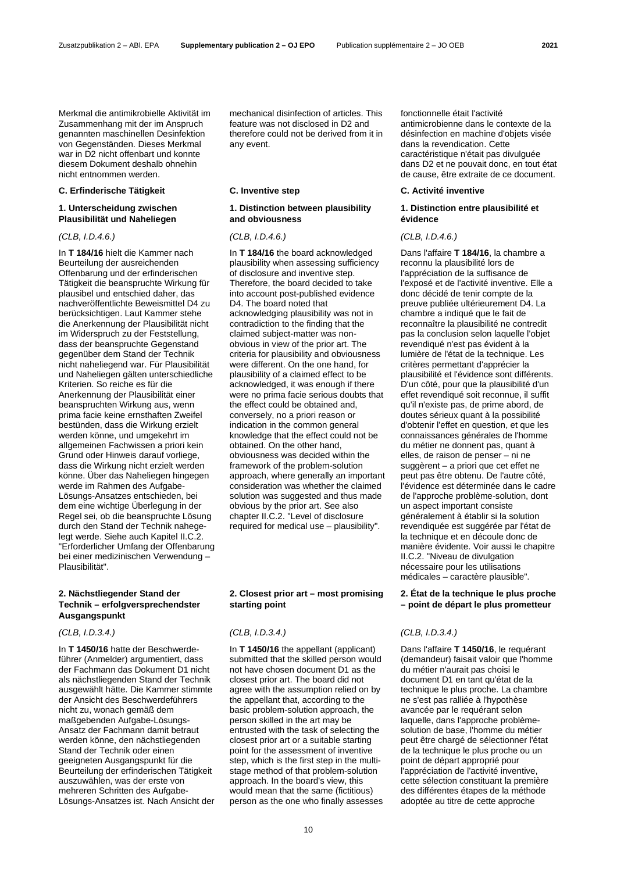Merkmal die antimikrobielle Aktivität im Zusammenhang mit der im Anspruch genannten maschinellen Desinfektion von Gegenständen. Dieses Merkmal war in D2 nicht offenbart und konnte diesem Dokument deshalb ohnehin nicht entnommen werden.

### **C. Erfinderische Tätigkeit C. Inventive step C. Activité inventive**

# **1. Unterscheidung zwischen Plausibilität und Naheliegen**

In **T 184/16** hielt die Kammer nach Beurteilung der ausreichenden Offenbarung und der erfinderischen Tätigkeit die beanspruchte Wirkung für plausibel und entschied daher, das nachveröffentlichte Beweismittel D4 zu berücksichtigen. Laut Kammer stehe die Anerkennung der Plausibilität nicht im Widerspruch zu der Feststellung, dass der beanspruchte Gegenstand gegenüber dem Stand der Technik nicht naheliegend war. Für Plausibilität und Naheliegen gälten unterschiedliche Kriterien. So reiche es für die Anerkennung der Plausibilität einer beanspruchten Wirkung aus, wenn prima facie keine ernsthaften Zweifel bestünden, dass die Wirkung erzielt werden könne, und umgekehrt im allgemeinen Fachwissen a priori kein Grund oder Hinweis darauf vorliege, dass die Wirkung nicht erzielt werden könne. Über das Naheliegen hingegen werde im Rahmen des Aufgabe-Lösungs-Ansatzes entschieden, bei dem eine wichtige Überlegung in der Regel sei, ob die beanspruchte Lösung durch den Stand der Technik nahegelegt werde. Siehe auch Kapitel II.C.2. "Erforderlicher Umfang der Offenbarung bei einer medizinischen Verwendung – Plausibilität".

# **2. Nächstliegender Stand der Technik – erfolgversprechendster Ausgangspunkt**

In **T 1450/16** hatte der Beschwerdeführer (Anmelder) argumentiert, dass der Fachmann das Dokument D1 nicht als nächstliegenden Stand der Technik ausgewählt hätte. Die Kammer stimmte der Ansicht des Beschwerdeführers nicht zu, wonach gemäß dem maßgebenden Aufgabe-Lösungs-Ansatz der Fachmann damit betraut werden könne, den nächstliegenden Stand der Technik oder einen geeigneten Ausgangspunkt für die Beurteilung der erfinderischen Tätigkeit auszuwählen, was der erste von mehreren Schritten des Aufgabe-Lösungs-Ansatzes ist. Nach Ansicht der mechanical disinfection of articles. This feature was not disclosed in D2 and therefore could not be derived from it in any event.

# **1. Distinction between plausibility and obviousness**

In **T 184/16** the board acknowledged plausibility when assessing sufficiency of disclosure and inventive step. Therefore, the board decided to take into account post-published evidence D4. The board noted that acknowledging plausibility was not in contradiction to the finding that the claimed subject-matter was nonobvious in view of the prior art. The criteria for plausibility and obviousness were different. On the one hand, for plausibility of a claimed effect to be acknowledged, it was enough if there were no prima facie serious doubts that the effect could be obtained and, conversely, no a priori reason or indication in the common general knowledge that the effect could not be obtained. On the other hand, obviousness was decided within the framework of the problem-solution approach, where generally an important consideration was whether the claimed solution was suggested and thus made obvious by the prior art. See also chapter II.C.2. "Level of disclosure required for medical use – plausibility".

# **2. Closest prior art – most promising starting point**

In **T 1450/16** the appellant (applicant) submitted that the skilled person would not have chosen document D1 as the closest prior art. The board did not agree with the assumption relied on by the appellant that, according to the basic problem-solution approach, the person skilled in the art may be entrusted with the task of selecting the closest prior art or a suitable starting point for the assessment of inventive step, which is the first step in the multistage method of that problem-solution approach. In the board's view, this would mean that the same (fictitious) person as the one who finally assesses fonctionnelle était l'activité antimicrobienne dans le contexte de la désinfection en machine d'objets visée dans la revendication. Cette caractéristique n'était pas divulguée dans D2 et ne pouvait donc, en tout état de cause, être extraite de ce document.

# **1. Distinction entre plausibilité et évidence**

### *(CLB, I.D.4.6.) (CLB, I.D.4.6.) (CLB, I.D.4.6.)*

Dans l'affaire **T 184/16**, la chambre a reconnu la plausibilité lors de l'appréciation de la suffisance de l'exposé et de l'activité inventive. Elle a donc décidé de tenir compte de la preuve publiée ultérieurement D4. La chambre a indiqué que le fait de reconnaître la plausibilité ne contredit pas la conclusion selon laquelle l'objet revendiqué n'est pas évident à la lumière de l'état de la technique. Les critères permettant d'apprécier la plausibilité et l'évidence sont différents. D'un côté, pour que la plausibilité d'un effet revendiqué soit reconnue, il suffit qu'il n'existe pas, de prime abord, de doutes sérieux quant à la possibilité d'obtenir l'effet en question, et que les connaissances générales de l'homme du métier ne donnent pas, quant à elles, de raison de penser – ni ne suggèrent – a priori que cet effet ne peut pas être obtenu. De l'autre côté, l'évidence est déterminée dans le cadre de l'approche problème-solution, dont un aspect important consiste généralement à établir si la solution revendiquée est suggérée par l'état de la technique et en découle donc de manière évidente. Voir aussi le chapitre II.C.2. "Niveau de divulgation nécessaire pour les utilisations médicales – caractère plausible".

# **2. État de la technique le plus proche – point de départ le plus prometteur**

# *(CLB, I.D.3.4.) (CLB, I.D.3.4.) (CLB, I.D.3.4.)*

Dans l'affaire **T 1450/16**, le requérant (demandeur) faisait valoir que l'homme du métier n'aurait pas choisi le document D1 en tant qu'état de la technique le plus proche. La chambre ne s'est pas ralliée à l'hypothèse avancée par le requérant selon laquelle, dans l'approche problèmesolution de base, l'homme du métier peut être chargé de sélectionner l'état de la technique le plus proche ou un point de départ approprié pour l'appréciation de l'activité inventive, cette sélection constituant la première des différentes étapes de la méthode adoptée au titre de cette approche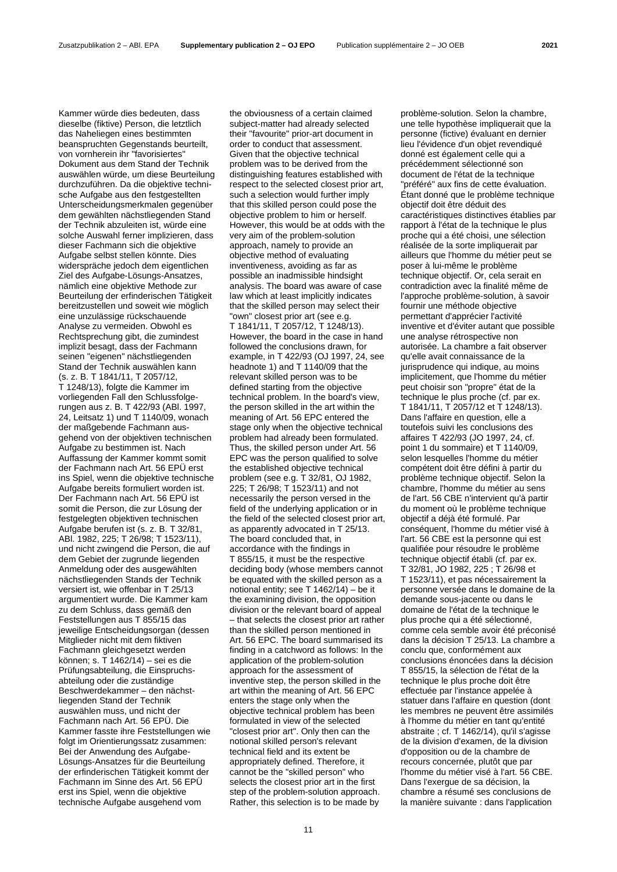Kammer würde dies bedeuten, dass dieselbe (fiktive) Person, die letztlich das Naheliegen eines bestimmten beanspruchten Gegenstands beurteilt, von vornherein ihr "favorisiertes" Dokument aus dem Stand der Technik auswählen würde, um diese Beurteilung durchzuführen. Da die objektive technische Aufgabe aus den festgestellten Unterscheidungsmerkmalen gegenüber dem gewählten nächstliegenden Stand der Technik abzuleiten ist, würde eine solche Auswahl ferner implizieren, dass dieser Fachmann sich die objektive Aufgabe selbst stellen könnte. Dies widerspräche jedoch dem eigentlichen Ziel des Aufgabe-Lösungs-Ansatzes, nämlich eine objektive Methode zur Beurteilung der erfinderischen Tätigkeit bereitzustellen und soweit wie möglich eine unzulässige rückschauende Analyse zu vermeiden. Obwohl es Rechtsprechung gibt, die zumindest implizit besagt, dass der Fachmann seinen "eigenen" nächstliegenden Stand der Technik auswählen kann (s. z. B. T 1841/11, T 2057/12, T 1248/13), folgte die Kammer im vorliegenden Fall den Schlussfolgerungen aus z. B. T 422/93 (ABl. 1997, 24, Leitsatz 1) und T 1140/09, wonach der maßgebende Fachmann ausgehend von der objektiven technischen Aufgabe zu bestimmen ist. Nach Auffassung der Kammer kommt somit der Fachmann nach Art. 56 EPÜ erst ins Spiel, wenn die objektive technische Aufgabe bereits formuliert worden ist. Der Fachmann nach Art. 56 EPÜ ist somit die Person, die zur Lösung der festgelegten objektiven technischen Aufgabe berufen ist (s. z. B. T 32/81, ABl. 1982, 225; T 26/98; T 1523/11), und nicht zwingend die Person, die auf dem Gebiet der zugrunde liegenden Anmeldung oder des ausgewählten nächstliegenden Stands der Technik versiert ist, wie offenbar in T 25/13 argumentiert wurde. Die Kammer kam zu dem Schluss, dass gemäß den Feststellungen aus T 855/15 das jeweilige Entscheidungsorgan (dessen Mitglieder nicht mit dem fiktiven Fachmann gleichgesetzt werden können; s. T 1462/14) – sei es die Prüfungsabteilung, die Einspruchsabteilung oder die zuständige Beschwerdekammer – den nächstliegenden Stand der Technik auswählen muss, und nicht der Fachmann nach Art. 56 EPÜ. Die Kammer fasste ihre Feststellungen wie folgt im Orientierungssatz zusammen: Bei der Anwendung des Aufgabe-Lösungs-Ansatzes für die Beurteilung der erfinderischen Tätigkeit kommt der Fachmann im Sinne des Art. 56 EPÜ erst ins Spiel, wenn die objektive technische Aufgabe ausgehend vom

the obviousness of a certain claimed subject-matter had already selected their "favourite" prior-art document in order to conduct that assessment. Given that the objective technical problem was to be derived from the distinguishing features established with respect to the selected closest prior art, such a selection would further imply that this skilled person could pose the objective problem to him or herself. However, this would be at odds with the very aim of the problem-solution approach, namely to provide an objective method of evaluating inventiveness, avoiding as far as possible an inadmissible hindsight analysis. The board was aware of case law which at least implicitly indicates that the skilled person may select their "own" closest prior art (see e.g. T 1841/11, T 2057/12, T 1248/13). However, the board in the case in hand followed the conclusions drawn, for example, in T 422/93 (OJ 1997, 24, see headnote 1) and T 1140/09 that the relevant skilled person was to be defined starting from the objective technical problem. In the board's view, the person skilled in the art within the meaning of Art. 56 EPC entered the stage only when the objective technical problem had already been formulated. Thus, the skilled person under Art. 56 EPC was the person qualified to solve the established objective technical problem (see e.g. T 32/81, OJ 1982, 225; T 26/98; T 1523/11) and not necessarily the person versed in the field of the underlying application or in the field of the selected closest prior art, as apparently advocated in T 25/13. The board concluded that, in accordance with the findings in T 855/15, it must be the respective deciding body (whose members cannot be equated with the skilled person as a notional entity; see T 1462/14) – be it the examining division, the opposition division or the relevant board of appeal – that selects the closest prior art rather than the skilled person mentioned in Art. 56 EPC. The board summarised its finding in a catchword as follows: In the application of the problem-solution approach for the assessment of inventive step, the person skilled in the art within the meaning of Art. 56 EPC enters the stage only when the objective technical problem has been formulated in view of the selected "closest prior art". Only then can the notional skilled person's relevant technical field and its extent be appropriately defined. Therefore, it cannot be the "skilled person" who selects the closest prior art in the first step of the problem-solution approach. Rather, this selection is to be made by

problème-solution. Selon la chambre, une telle hypothèse impliquerait que la personne (fictive) évaluant en dernier lieu l'évidence d'un objet revendiqué donné est également celle qui a précédemment sélectionné son document de l'état de la technique "préféré" aux fins de cette évaluation. Étant donné que le problème technique objectif doit être déduit des caractéristiques distinctives établies par rapport à l'état de la technique le plus proche qui a été choisi, une sélection réalisée de la sorte impliquerait par ailleurs que l'homme du métier peut se poser à lui-même le problème technique objectif. Or, cela serait en contradiction avec la finalité même de l'approche problème-solution, à savoir fournir une méthode objective permettant d'apprécier l'activité inventive et d'éviter autant que possible une analyse rétrospective non autorisée. La chambre a fait observer qu'elle avait connaissance de la jurisprudence qui indique, au moins implicitement, que l'homme du métier peut choisir son "propre" état de la technique le plus proche (cf. par ex. T 1841/11, T 2057/12 et T 1248/13). Dans l'affaire en question, elle a toutefois suivi les conclusions des affaires T 422/93 (JO 1997, 24, cf. point 1 du sommaire) et T 1140/09, selon lesquelles l'homme du métier compétent doit être défini à partir du problème technique objectif. Selon la chambre, l'homme du métier au sens de l'art. 56 CBE n'intervient qu'à partir du moment où le problème technique objectif a déjà été formulé. Par conséquent, l'homme du métier visé à l'art. 56 CBE est la personne qui est qualifiée pour résoudre le problème technique objectif établi (cf. par ex. T 32/81, JO 1982, 225 ; T 26/98 et T 1523/11), et pas nécessairement la personne versée dans le domaine de la demande sous-jacente ou dans le domaine de l'état de la technique le plus proche qui a été sélectionné, comme cela semble avoir été préconisé dans la décision T 25/13. La chambre a conclu que, conformément aux conclusions énoncées dans la décision T 855/15, la sélection de l'état de la technique le plus proche doit être effectuée par l'instance appelée à statuer dans l'affaire en question (dont les membres ne peuvent être assimilés à l'homme du métier en tant qu'entité abstraite ; cf. T 1462/14), qu'il s'agisse de la division d'examen, de la division d'opposition ou de la chambre de recours concernée, plutôt que par l'homme du métier visé à l'art. 56 CBE. Dans l'exergue de sa décision, la chambre a résumé ses conclusions de la manière suivante : dans l'application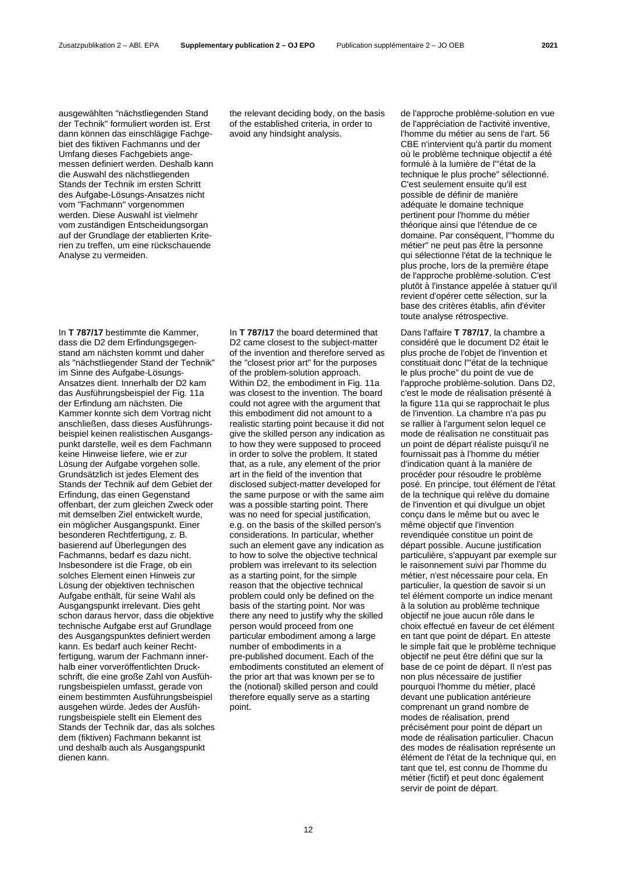ausgewählten "nächstliegenden Stand der Technik" formuliert worden ist. Erst dann können das einschlägige Fachgebiet des fiktiven Fachmanns und der Umfang dieses Fachgebiets angemessen definiert werden. Deshalb kann die Auswahl des nächstliegenden Stands der Technik im ersten Schritt des Aufgabe-Lösungs-Ansatzes nicht vom "Fachmann" vorgenommen werden. Diese Auswahl ist vielmehr vom zuständigen Entscheidungsorgan auf der Grundlage der etablierten Kriterien zu treffen, um eine rückschauende Analyse zu vermeiden.

In **T 787/17** bestimmte die Kammer, dass die D2 dem Erfindungsgegenstand am nächsten kommt und daher als "nächstliegender Stand der Technik" im Sinne des Aufgabe-Lösungs-Ansatzes dient. Innerhalb der D2 kam das Ausführungsbeispiel der Fig. 11a der Erfindung am nächsten. Die Kammer konnte sich dem Vortrag nicht anschließen, dass dieses Ausführungsbeispiel keinen realistischen Ausgangspunkt darstelle, weil es dem Fachmann keine Hinweise liefere, wie er zur Lösung der Aufgabe vorgehen solle. Grundsätzlich ist jedes Element des Stands der Technik auf dem Gebiet der Erfindung, das einen Gegenstand offenbart, der zum gleichen Zweck oder mit demselben Ziel entwickelt wurde, ein möglicher Ausgangspunkt. Einer besonderen Rechtfertigung, z. B. basierend auf Überlegungen des Fachmanns, bedarf es dazu nicht. Insbesondere ist die Frage, ob ein solches Element einen Hinweis zur Lösung der objektiven technischen Aufgabe enthält, für seine Wahl als Ausgangspunkt irrelevant. Dies geht schon daraus hervor, dass die objektive technische Aufgabe erst auf Grundlage des Ausgangspunktes definiert werden kann. Es bedarf auch keiner Rechtfertigung, warum der Fachmann innerhalb einer vorveröffentlichten Druckschrift, die eine große Zahl von Ausführungsbeispielen umfasst, gerade von einem bestimmten Ausführungsbeispiel ausgehen würde. Jedes der Ausführungsbeispiele stellt ein Element des Stands der Technik dar, das als solches dem (fiktiven) Fachmann bekannt ist und deshalb auch als Ausgangspunkt dienen kann.

the relevant deciding body, on the basis of the established criteria, in order to avoid any hindsight analysis.

In **T 787/17** the board determined that D2 came closest to the subject-matter of the invention and therefore served as the "closest prior art" for the purposes of the problem-solution approach. Within D2, the embodiment in Fig. 11a was closest to the invention. The board could not agree with the argument that this embodiment did not amount to a realistic starting point because it did not give the skilled person any indication as to how they were supposed to proceed in order to solve the problem. It stated that, as a rule, any element of the prior art in the field of the invention that disclosed subject-matter developed for the same purpose or with the same aim was a possible starting point. There was no need for special justification, e.g. on the basis of the skilled person's considerations. In particular, whether such an element gave any indication as to how to solve the objective technical problem was irrelevant to its selection as a starting point, for the simple reason that the objective technical problem could only be defined on the basis of the starting point. Nor was there any need to justify why the skilled person would proceed from one particular embodiment among a large number of embodiments in a pre-published document. Each of the embodiments constituted an element of the prior art that was known per se to the (notional) skilled person and could therefore equally serve as a starting point.

de l'approche problème-solution en vue de l'appréciation de l'activité inventive, l'homme du métier au sens de l'art. 56 CBE n'intervient qu'à partir du moment où le problème technique objectif a été formulé à la lumière de l'"état de la technique le plus proche" sélectionné. C'est seulement ensuite qu'il est possible de définir de manière adéquate le domaine technique pertinent pour l'homme du métier théorique ainsi que l'étendue de ce domaine. Par conséquent, l'"homme du métier" ne peut pas être la personne qui sélectionne l'état de la technique le plus proche, lors de la première étape de l'approche problème-solution. C'est plutôt à l'instance appelée à statuer qu'il revient d'opérer cette sélection, sur la base des critères établis, afin d'éviter toute analyse rétrospective.

Dans l'affaire **T 787/17**, la chambre a considéré que le document D2 était le plus proche de l'objet de l'invention et constituait donc l'"état de la technique le plus proche" du point de vue de l'approche problème-solution. Dans D2, c'est le mode de réalisation présenté à la figure 11a qui se rapprochait le plus de l'invention. La chambre n'a pas pu se rallier à l'argument selon lequel ce mode de réalisation ne constituait pas un point de départ réaliste puisqu'il ne fournissait pas à l'homme du métier d'indication quant à la manière de procéder pour résoudre le problème posé. En principe, tout élément de l'état de la technique qui relève du domaine de l'invention et qui divulgue un objet conçu dans le même but ou avec le même objectif que l'invention revendiquée constitue un point de départ possible. Aucune justification particulière, s'appuyant par exemple sur le raisonnement suivi par l'homme du métier, n'est nécessaire pour cela. En particulier, la question de savoir si un tel élément comporte un indice menant à la solution au problème technique objectif ne joue aucun rôle dans le choix effectué en faveur de cet élément en tant que point de départ. En atteste le simple fait que le problème technique objectif ne peut être défini que sur la base de ce point de départ. Il n'est pas non plus nécessaire de justifier pourquoi l'homme du métier, placé devant une publication antérieure comprenant un grand nombre de modes de réalisation, prend précisément pour point de départ un mode de réalisation particulier. Chacun des modes de réalisation représente un élément de l'état de la technique qui, en tant que tel, est connu de l'homme du métier (fictif) et peut donc également servir de point de départ.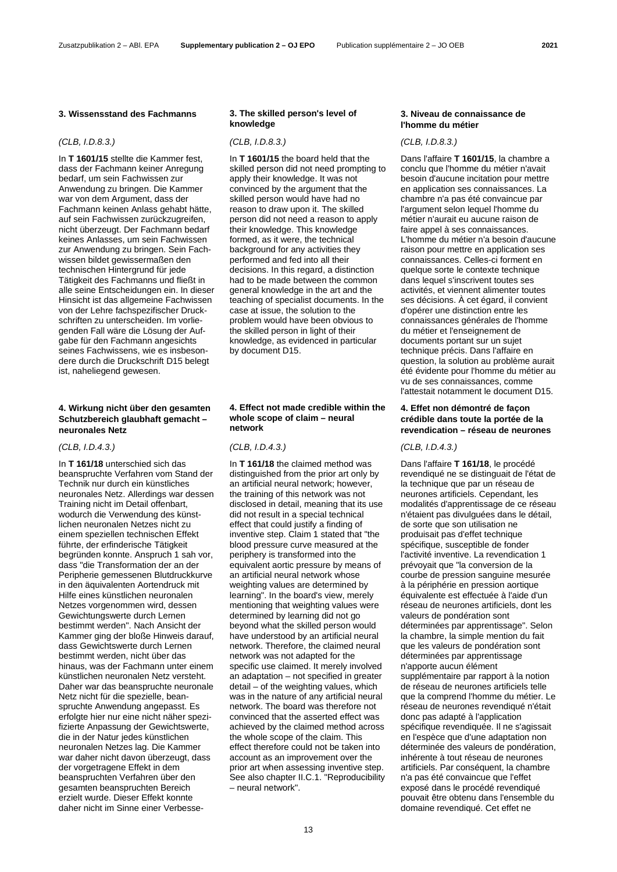### **3. Wissensstand des Fachmanns 3. The skilled person's level of**

# *(CLB, I.D.8.3.) (CLB, I.D.8.3.) (CLB, I.D.8.3.)*

In **T 1601/15** stellte die Kammer fest, dass der Fachmann keiner Anregung bedarf, um sein Fachwissen zur Anwendung zu bringen. Die Kammer war von dem Argument, dass der Fachmann keinen Anlass gehabt hätte, auf sein Fachwissen zurückzugreifen, nicht überzeugt. Der Fachmann bedarf keines Anlasses, um sein Fachwissen zur Anwendung zu bringen. Sein Fachwissen bildet gewissermaßen den technischen Hintergrund für jede Tätigkeit des Fachmanns und fließt in alle seine Entscheidungen ein. In dieser Hinsicht ist das allgemeine Fachwissen von der Lehre fachspezifischer Druckschriften zu unterscheiden. Im vorliegenden Fall wäre die Lösung der Aufgabe für den Fachmann angesichts seines Fachwissens, wie es insbesondere durch die Druckschrift D15 belegt ist, naheliegend gewesen.

# **4. Wirkung nicht über den gesamten Schutzbereich glaubhaft gemacht – neuronales Netz**

In **T 161/18** unterschied sich das beanspruchte Verfahren vom Stand der Technik nur durch ein künstliches neuronales Netz. Allerdings war dessen Training nicht im Detail offenbart, wodurch die Verwendung des künstlichen neuronalen Netzes nicht zu einem speziellen technischen Effekt führte, der erfinderische Tätigkeit begründen konnte. Anspruch 1 sah vor, dass "die Transformation der an der Peripherie gemessenen Blutdruckkurve in den äquivalenten Aortendruck mit Hilfe eines künstlichen neuronalen Netzes vorgenommen wird, dessen Gewichtungswerte durch Lernen bestimmt werden". Nach Ansicht der Kammer ging der bloße Hinweis darauf, dass Gewichtswerte durch Lernen bestimmt werden, nicht über das hinaus, was der Fachmann unter einem künstlichen neuronalen Netz versteht. Daher war das beanspruchte neuronale Netz nicht für die spezielle, beanspruchte Anwendung angepasst. Es erfolgte hier nur eine nicht näher spezifizierte Anpassung der Gewichtswerte, die in der Natur jedes künstlichen neuronalen Netzes lag. Die Kammer war daher nicht davon überzeugt, dass der vorgetragene Effekt in dem beanspruchten Verfahren über den gesamten beanspruchten Bereich erzielt wurde. Dieser Effekt konnte daher nicht im Sinne einer Verbesse-

# **knowledge**

In **T 1601/15** the board held that the skilled person did not need prompting to apply their knowledge. It was not convinced by the argument that the skilled person would have had no reason to draw upon it. The skilled person did not need a reason to apply their knowledge. This knowledge formed, as it were, the technical background for any activities they performed and fed into all their decisions. In this regard, a distinction had to be made between the common general knowledge in the art and the teaching of specialist documents. In the case at issue, the solution to the problem would have been obvious to the skilled person in light of their knowledge, as evidenced in particular by document D15.

## **4. Effect not made credible within the whole scope of claim – neural network**

In **T 161/18** the claimed method was distinguished from the prior art only by an artificial neural network; however, the training of this network was not disclosed in detail, meaning that its use did not result in a special technical effect that could justify a finding of inventive step. Claim 1 stated that "the blood pressure curve measured at the periphery is transformed into the equivalent aortic pressure by means of an artificial neural network whose weighting values are determined by learning". In the board's view, merely mentioning that weighting values were determined by learning did not go beyond what the skilled person would have understood by an artificial neural network. Therefore, the claimed neural network was not adapted for the specific use claimed. It merely involved an adaptation – not specified in greater detail – of the weighting values, which was in the nature of any artificial neural network. The board was therefore not convinced that the asserted effect was achieved by the claimed method across the whole scope of the claim. This effect therefore could not be taken into account as an improvement over the prior art when assessing inventive step. See also chapter II.C.1. "Reproducibility – neural network".

# **3. Niveau de connaissance de l'homme du métier**

Dans l'affaire **T 1601/15**, la chambre a conclu que l'homme du métier n'avait besoin d'aucune incitation pour mettre en application ses connaissances. La chambre n'a pas été convaincue par l'argument selon lequel l'homme du métier n'aurait eu aucune raison de faire appel à ses connaissances. L'homme du métier n'a besoin d'aucune raison pour mettre en application ses connaissances. Celles-ci forment en quelque sorte le contexte technique dans lequel s'inscrivent toutes ses activités, et viennent alimenter toutes ses décisions. À cet égard, il convient d'opérer une distinction entre les connaissances générales de l'homme du métier et l'enseignement de documents portant sur un sujet technique précis. Dans l'affaire en question, la solution au problème aurait été évidente pour l'homme du métier au vu de ses connaissances, comme l'attestait notamment le document D15.

# **4. Effet non démontré de façon crédible dans toute la portée de la revendication – réseau de neurones**

# *(CLB, I.D.4.3.) (CLB, I.D.4.3.) (CLB, I.D.4.3.)*

Dans l'affaire **T 161/18**, le procédé revendiqué ne se distinguait de l'état de la technique que par un réseau de neurones artificiels. Cependant, les modalités d'apprentissage de ce réseau n'étaient pas divulguées dans le détail, de sorte que son utilisation ne produisait pas d'effet technique spécifique, susceptible de fonder l'activité inventive. La revendication 1 prévoyait que "la conversion de la courbe de pression sanguine mesurée à la périphérie en pression aortique équivalente est effectuée à l'aide d'un réseau de neurones artificiels, dont les valeurs de pondération sont déterminées par apprentissage". Selon la chambre, la simple mention du fait que les valeurs de pondération sont déterminées par apprentissage n'apporte aucun élément supplémentaire par rapport à la notion de réseau de neurones artificiels telle que la comprend l'homme du métier. Le réseau de neurones revendiqué n'était donc pas adapté à l'application spécifique revendiquée. Il ne s'agissait en l'espèce que d'une adaptation non déterminée des valeurs de pondération, inhérente à tout réseau de neurones artificiels. Par conséquent, la chambre n'a pas été convaincue que l'effet exposé dans le procédé revendiqué pouvait être obtenu dans l'ensemble du domaine revendiqué. Cet effet ne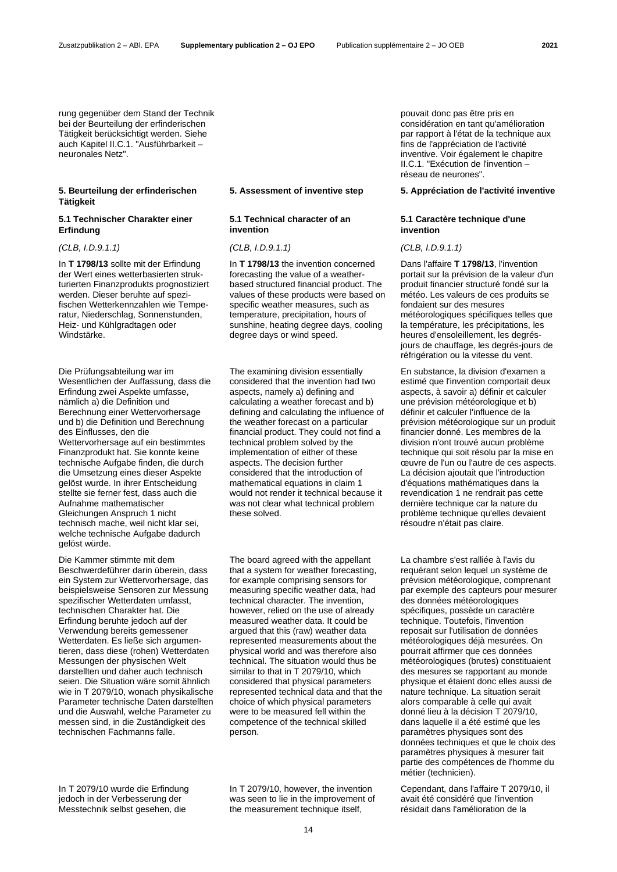rung gegenüber dem Stand der Technik

bei der Beurteilung der erfinderischen Tätigkeit berücksichtigt werden. Siehe auch Kapitel II.C.1. "Ausführbarkeit – neuronales Netz".

# **5. Beurteilung der erfinderischen Tätigkeit**

# **5.1 Technischer Charakter einer Erfindung**

*(CLB, I.D.9.1.1) (CLB, I.D.9.1.1) (CLB, I.D.9.1.1)*

In **T 1798/13** sollte mit der Erfindung der Wert eines wetterbasierten strukturierten Finanzprodukts prognostiziert werden. Dieser beruhte auf spezifischen Wetterkennzahlen wie Temperatur, Niederschlag, Sonnenstunden, Heiz- und Kühlgradtagen oder Windstärke.

Die Prüfungsabteilung war im Wesentlichen der Auffassung, dass die Erfindung zwei Aspekte umfasse, nämlich a) die Definition und Berechnung einer Wettervorhersage und b) die Definition und Berechnung des Einflusses, den die Wettervorhersage auf ein bestimmtes Finanzprodukt hat. Sie konnte keine technische Aufgabe finden, die durch die Umsetzung eines dieser Aspekte gelöst wurde. In ihrer Entscheidung stellte sie ferner fest, dass auch die Aufnahme mathematischer Gleichungen Anspruch 1 nicht technisch mache, weil nicht klar sei, welche technische Aufgabe dadurch gelöst würde.

Die Kammer stimmte mit dem Beschwerdeführer darin überein, dass ein System zur Wettervorhersage, das beispielsweise Sensoren zur Messung spezifischer Wetterdaten umfasst, technischen Charakter hat. Die Erfindung beruhte jedoch auf der Verwendung bereits gemessener Wetterdaten. Es ließe sich argumentieren, dass diese (rohen) Wetterdaten Messungen der physischen Welt darstellten und daher auch technisch seien. Die Situation wäre somit ähnlich wie in T 2079/10, wonach physikalische Parameter technische Daten darstellten und die Auswahl, welche Parameter zu messen sind, in die Zuständigkeit des technischen Fachmanns falle.

### **5.1 Technical character of an invention**

In **T 1798/13** the invention concerned forecasting the value of a weatherbased structured financial product. The values of these products were based on specific weather measures, such as temperature, precipitation, hours of sunshine, heating degree days, cooling degree days or wind speed.

The examining division essentially considered that the invention had two aspects, namely a) defining and calculating a weather forecast and b) defining and calculating the influence of the weather forecast on a particular financial product. They could not find a technical problem solved by the implementation of either of these aspects. The decision further considered that the introduction of mathematical equations in claim 1 would not render it technical because it was not clear what technical problem these solved.

The board agreed with the appellant that a system for weather forecasting, for example comprising sensors for measuring specific weather data, had technical character. The invention, however, relied on the use of already measured weather data. It could be argued that this (raw) weather data represented measurements about the physical world and was therefore also technical. The situation would thus be similar to that in T 2079/10, which considered that physical parameters represented technical data and that the choice of which physical parameters were to be measured fell within the competence of the technical skilled person.

In T 2079/10 wurde die Erfindung jedoch in der Verbesserung der Messtechnik selbst gesehen, die

In T 2079/10, however, the invention was seen to lie in the improvement of the measurement technique itself,

pouvait donc pas être pris en considération en tant qu'amélioration par rapport à l'état de la technique aux fins de l'appréciation de l'activité inventive. Voir également le chapitre II.C.1. "Exécution de l'invention – réseau de neurones".

### **5. Assessment of inventive step 5. Appréciation de l'activité inventive**

# **5.1 Caractère technique d'une invention**

Dans l'affaire **T 1798/13**, l'invention portait sur la prévision de la valeur d'un produit financier structuré fondé sur la météo. Les valeurs de ces produits se fondaient sur des mesures météorologiques spécifiques telles que la température, les précipitations, les heures d'ensoleillement, les degrésjours de chauffage, les degrés-jours de réfrigération ou la vitesse du vent.

En substance, la division d'examen a estimé que l'invention comportait deux aspects, à savoir a) définir et calculer une prévision météorologique et b) définir et calculer l'influence de la prévision météorologique sur un produit financier donné. Les membres de la division n'ont trouvé aucun problème technique qui soit résolu par la mise en œuvre de l'un ou l'autre de ces aspects. La décision ajoutait que l'introduction d'équations mathématiques dans la revendication 1 ne rendrait pas cette dernière technique car la nature du problème technique qu'elles devaient résoudre n'était pas claire.

La chambre s'est ralliée à l'avis du requérant selon lequel un système de prévision météorologique, comprenant par exemple des capteurs pour mesurer des données météorologiques spécifiques, possède un caractère technique. Toutefois, l'invention reposait sur l'utilisation de données météorologiques déjà mesurées. On pourrait affirmer que ces données météorologiques (brutes) constituaient des mesures se rapportant au monde physique et étaient donc elles aussi de nature technique. La situation serait alors comparable à celle qui avait donné lieu à la décision T 2079/10, dans laquelle il a été estimé que les paramètres physiques sont des données techniques et que le choix des paramètres physiques à mesurer fait partie des compétences de l'homme du métier (technicien).

Cependant, dans l'affaire T 2079/10, il avait été considéré que l'invention résidait dans l'amélioration de la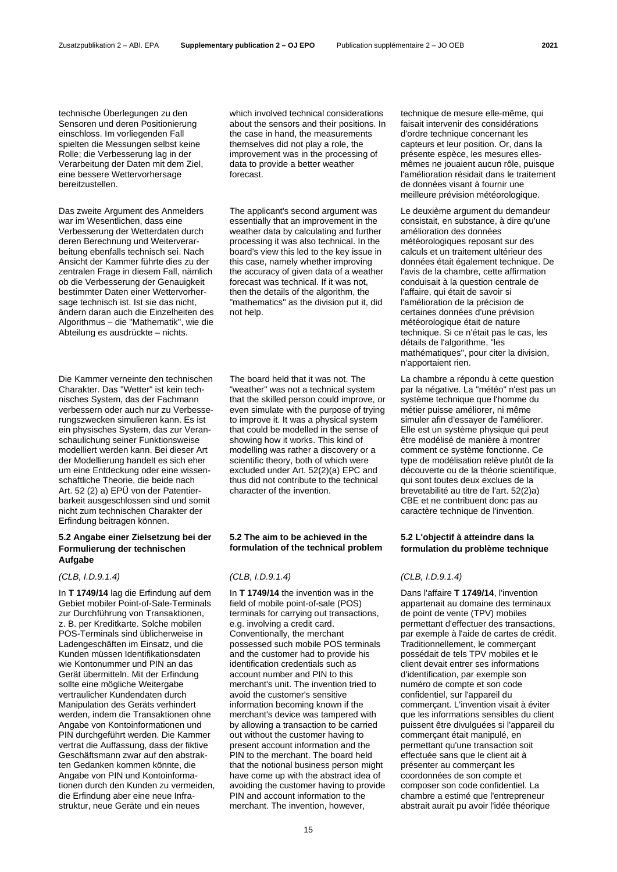technische Überlegungen zu den Sensoren und deren Positionierung einschloss. Im vorliegenden Fall spielten die Messungen selbst keine Rolle; die Verbesserung lag in der Verarbeitung der Daten mit dem Ziel, eine bessere Wettervorhersage bereitzustellen.

Das zweite Argument des Anmelders war im Wesentlichen, dass eine Verbesserung der Wetterdaten durch deren Berechnung und Weiterverarbeitung ebenfalls technisch sei. Nach Ansicht der Kammer führte dies zu der zentralen Frage in diesem Fall, nämlich ob die Verbesserung der Genauigkeit bestimmter Daten einer Wettervorhersage technisch ist. Ist sie das nicht, ändern daran auch die Einzelheiten des Algorithmus – die "Mathematik", wie die Abteilung es ausdrückte – nichts.

Die Kammer verneinte den technischen Charakter. Das "Wetter" ist kein technisches System, das der Fachmann verbessern oder auch nur zu Verbesserungszwecken simulieren kann. Es ist ein physisches System, das zur Veranschaulichung seiner Funktionsweise modelliert werden kann. Bei dieser Art der Modellierung handelt es sich eher um eine Entdeckung oder eine wissenschaftliche Theorie, die beide nach Art. 52 (2) a) EPÜ von der Patentierbarkeit ausgeschlossen sind und somit nicht zum technischen Charakter der Erfindung beitragen können.

# **5.2 Angabe einer Zielsetzung bei der Formulierung der technischen Aufgabe**

In **T 1749/14** lag die Erfindung auf dem Gebiet mobiler Point-of-Sale-Terminals zur Durchführung von Transaktionen, z. B. per Kreditkarte. Solche mobilen POS-Terminals sind üblicherweise in Ladengeschäften im Einsatz, und die Kunden müssen Identifikationsdaten wie Kontonummer und PIN an das Gerät übermitteln. Mit der Erfindung sollte eine mögliche Weitergabe vertraulicher Kundendaten durch Manipulation des Geräts verhindert werden, indem die Transaktionen ohne Angabe von Kontoinformationen und PIN durchgeführt werden. Die Kammer vertrat die Auffassung, dass der fiktive Geschäftsmann zwar auf den abstrakten Gedanken kommen könnte, die Angabe von PIN und Kontoinformationen durch den Kunden zu vermeiden, die Erfindung aber eine neue Infrastruktur, neue Geräte und ein neues

which involved technical considerations about the sensors and their positions. In the case in hand, the measurements themselves did not play a role, the improvement was in the processing of data to provide a better weather forecast.

The applicant's second argument was essentially that an improvement in the weather data by calculating and further processing it was also technical. In the board's view this led to the key issue in this case, namely whether improving the accuracy of given data of a weather forecast was technical. If it was not, then the details of the algorithm, the "mathematics" as the division put it, did not help.

The board held that it was not. The "weather" was not a technical system that the skilled person could improve, or even simulate with the purpose of trying to improve it. It was a physical system that could be modelled in the sense of showing how it works. This kind of modelling was rather a discovery or a scientific theory, both of which were excluded under Art. 52(2)(a) EPC and thus did not contribute to the technical character of the invention.

# **5.2 The aim to be achieved in the formulation of the technical problem**

# *(CLB, I.D.9.1.4) (CLB, I.D.9.1.4) (CLB, I.D.9.1.4)*

In **T 1749/14** the invention was in the field of mobile point-of-sale (POS) terminals for carrying out transactions, e.g. involving a credit card. Conventionally, the merchant possessed such mobile POS terminals and the customer had to provide his identification credentials such as account number and PIN to this merchant's unit. The invention tried to avoid the customer's sensitive information becoming known if the merchant's device was tampered with by allowing a transaction to be carried out without the customer having to present account information and the PIN to the merchant. The board held that the notional business person might have come up with the abstract idea of avoiding the customer having to provide PIN and account information to the merchant. The invention, however,

technique de mesure elle-même, qui faisait intervenir des considérations d'ordre technique concernant les capteurs et leur position. Or, dans la présente espèce, les mesures ellesmêmes ne jouaient aucun rôle, puisque l'amélioration résidait dans le traitement de données visant à fournir une meilleure prévision météorologique.

Le deuxième argument du demandeur consistait, en substance, à dire qu'une amélioration des données météorologiques reposant sur des calculs et un traitement ultérieur des données était également technique. De l'avis de la chambre, cette affirmation conduisait à la question centrale de l'affaire, qui était de savoir si l'amélioration de la précision de certaines données d'une prévision météorologique était de nature technique. Si ce n'était pas le cas, les détails de l'algorithme, "les mathématiques", pour citer la division, n'apportaient rien.

La chambre a répondu à cette question par la négative. La "météo" n'est pas un système technique que l'homme du métier puisse améliorer, ni même simuler afin d'essayer de l'améliorer. Elle est un système physique qui peut être modélisé de manière à montrer comment ce système fonctionne. Ce type de modélisation relève plutôt de la découverte ou de la théorie scientifique, qui sont toutes deux exclues de la brevetabilité au titre de l'art. 52(2)a) CBE et ne contribuent donc pas au caractère technique de l'invention.

# **5.2 L'objectif à atteindre dans la formulation du problème technique**

Dans l'affaire **T 1749/14**, l'invention appartenait au domaine des terminaux de point de vente (TPV) mobiles permettant d'effectuer des transactions, par exemple à l'aide de cartes de crédit. Traditionnellement, le commerçant possédait de tels TPV mobiles et le client devait entrer ses informations d'identification, par exemple son numéro de compte et son code confidentiel, sur l'appareil du commerçant. L'invention visait à éviter que les informations sensibles du client puissent être divulguées si l'appareil du commerçant était manipulé, en permettant qu'une transaction soit effectuée sans que le client ait à présenter au commerçant les coordonnées de son compte et composer son code confidentiel. La chambre a estimé que l'entrepreneur abstrait aurait pu avoir l'idée théorique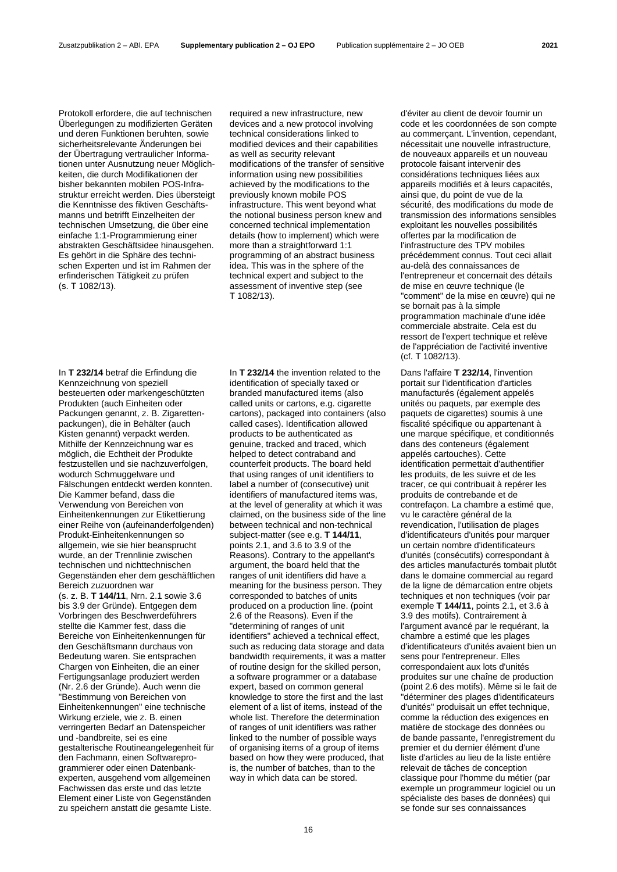Protokoll erfordere, die auf technischen Überlegungen zu modifizierten Geräten und deren Funktionen beruhten, sowie sicherheitsrelevante Änderungen bei der Übertragung vertraulicher Informationen unter Ausnutzung neuer Möglichkeiten, die durch Modifikationen der bisher bekannten mobilen POS-Infrastruktur erreicht werden. Dies übersteigt die Kenntnisse des fiktiven Geschäftsmanns und betrifft Einzelheiten der technischen Umsetzung, die über eine einfache 1:1-Programmierung einer abstrakten Geschäftsidee hinausgehen. Es gehört in die Sphäre des technischen Experten und ist im Rahmen der erfinderischen Tätigkeit zu prüfen (s. T 1082/13).

required a new infrastructure, new devices and a new protocol involving technical considerations linked to modified devices and their capabilities as well as security relevant modifications of the transfer of sensitive information using new possibilities achieved by the modifications to the previously known mobile POS infrastructure. This went beyond what the notional business person knew and concerned technical implementation details (how to implement) which were more than a straightforward 1:1 programming of an abstract business idea. This was in the sphere of the technical expert and subject to the assessment of inventive step (see T 1082/13).

In **T 232/14** betraf die Erfindung die Kennzeichnung von speziell besteuerten oder markengeschützten Produkten (auch Einheiten oder Packungen genannt, z. B. Zigarettenpackungen), die in Behälter (auch Kisten genannt) verpackt werden. Mithilfe der Kennzeichnung war es möglich, die Echtheit der Produkte festzustellen und sie nachzuverfolgen, wodurch Schmuggelware und Fälschungen entdeckt werden konnten. Die Kammer befand, dass die Verwendung von Bereichen von Einheitenkennungen zur Etikettierung einer Reihe von (aufeinanderfolgenden) Produkt-Einheitenkennungen so allgemein, wie sie hier beansprucht wurde, an der Trennlinie zwischen technischen und nichttechnischen Gegenständen eher dem geschäftlichen Bereich zuzuordnen war (s. z. B. **T 144/11**, Nrn. 2.1 sowie 3.6 bis 3.9 der Gründe). Entgegen dem Vorbringen des Beschwerdeführers stellte die Kammer fest, dass die Bereiche von Einheitenkennungen für den Geschäftsmann durchaus von Bedeutung waren. Sie entsprachen Chargen von Einheiten, die an einer Fertigungsanlage produziert werden (Nr. 2.6 der Gründe). Auch wenn die "Bestimmung von Bereichen von Einheitenkennungen" eine technische Wirkung erziele, wie z. B. einen verringerten Bedarf an Datenspeicher und -bandbreite, sei es eine gestalterische Routineangelegenheit für den Fachmann, einen Softwareprogrammierer oder einen Datenbankexperten, ausgehend vom allgemeinen Fachwissen das erste und das letzte Element einer Liste von Gegenständen zu speichern anstatt die gesamte Liste.

In **T 232/14** the invention related to the identification of specially taxed or branded manufactured items (also called units or cartons, e.g. cigarette cartons), packaged into containers (also called cases). Identification allowed products to be authenticated as genuine, tracked and traced, which helped to detect contraband and counterfeit products. The board held that using ranges of unit identifiers to label a number of (consecutive) unit identifiers of manufactured items was, at the level of generality at which it was claimed, on the business side of the line between technical and non-technical subject-matter (see e.g. **T 144/11**, points 2.1, and 3.6 to 3.9 of the Reasons). Contrary to the appellant's argument, the board held that the ranges of unit identifiers did have a meaning for the business person. They corresponded to batches of units produced on a production line. (point 2.6 of the Reasons). Even if the "determining of ranges of unit identifiers" achieved a technical effect, such as reducing data storage and data bandwidth requirements, it was a matter of routine design for the skilled person, a software programmer or a database expert, based on common general knowledge to store the first and the last element of a list of items, instead of the whole list. Therefore the determination of ranges of unit identifiers was rather linked to the number of possible ways of organising items of a group of items based on how they were produced, that is, the number of batches, than to the way in which data can be stored.

d'éviter au client de devoir fournir un code et les coordonnées de son compte au commerçant. L'invention, cependant, nécessitait une nouvelle infrastructure, de nouveaux appareils et un nouveau protocole faisant intervenir des considérations techniques liées aux appareils modifiés et à leurs capacités, ainsi que, du point de vue de la sécurité, des modifications du mode de transmission des informations sensibles exploitant les nouvelles possibilités offertes par la modification de l'infrastructure des TPV mobiles précédemment connus. Tout ceci allait au-delà des connaissances de l'entrepreneur et concernait des détails de mise en œuvre technique (le "comment" de la mise en œuvre) qui ne se bornait pas à la simple programmation machinale d'une idée commerciale abstraite. Cela est du ressort de l'expert technique et relève de l'appréciation de l'activité inventive (cf. T 1082/13).

Dans l'affaire **T 232/14**, l'invention portait sur l'identification d'articles manufacturés (également appelés unités ou paquets, par exemple des paquets de cigarettes) soumis à une fiscalité spécifique ou appartenant à une marque spécifique, et conditionnés dans des conteneurs (également appelés cartouches). Cette identification permettait d'authentifier les produits, de les suivre et de les tracer, ce qui contribuait à repérer les produits de contrebande et de contrefaçon. La chambre a estimé que, vu le caractère général de la revendication, l'utilisation de plages d'identificateurs d'unités pour marquer un certain nombre d'identificateurs d'unités (consécutifs) correspondant à des articles manufacturés tombait plutôt dans le domaine commercial au regard de la ligne de démarcation entre objets techniques et non techniques (voir par exemple **T 144/11**, points 2.1, et 3.6 à 3.9 des motifs). Contrairement à l'argument avancé par le requérant, la chambre a estimé que les plages d'identificateurs d'unités avaient bien un sens pour l'entrepreneur. Elles correspondaient aux lots d'unités produites sur une chaîne de production (point 2.6 des motifs). Même si le fait de "déterminer des plages d'identificateurs d'unités" produisait un effet technique, comme la réduction des exigences en matière de stockage des données ou de bande passante, l'enregistrement du premier et du dernier élément d'une liste d'articles au lieu de la liste entière relevait de tâches de conception classique pour l'homme du métier (par exemple un programmeur logiciel ou un spécialiste des bases de données) qui se fonde sur ses connaissances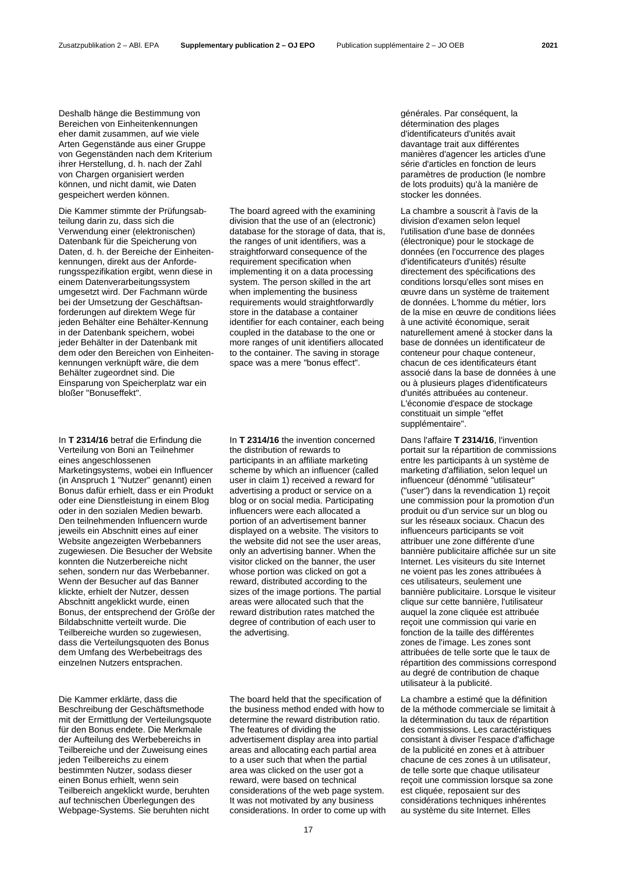Deshalb hänge die Bestimmung von Bereichen von Einheitenkennungen eher damit zusammen, auf wie viele Arten Gegenstände aus einer Gruppe von Gegenständen nach dem Kriterium ihrer Herstellung, d. h. nach der Zahl von Chargen organisiert werden können, und nicht damit, wie Daten gespeichert werden können.

Die Kammer stimmte der Prüfungsabteilung darin zu, dass sich die Verwendung einer (elektronischen) Datenbank für die Speicherung von Daten, d. h. der Bereiche der Einheitenkennungen, direkt aus der Anforderungsspezifikation ergibt, wenn diese in einem Datenverarbeitungssystem umgesetzt wird. Der Fachmann würde bei der Umsetzung der Geschäftsanforderungen auf direktem Wege für jeden Behälter eine Behälter-Kennung in der Datenbank speichern, wobei jeder Behälter in der Datenbank mit dem oder den Bereichen von Einheitenkennungen verknüpft wäre, die dem Behälter zugeordnet sind. Die Einsparung von Speicherplatz war ein bloßer "Bonuseffekt".

In **T 2314/16** betraf die Erfindung die Verteilung von Boni an Teilnehmer eines angeschlossenen Marketingsystems, wobei ein Influencer (in Anspruch 1 "Nutzer" genannt) einen Bonus dafür erhielt, dass er ein Produkt oder eine Dienstleistung in einem Blog oder in den sozialen Medien bewarb. Den teilnehmenden Influencern wurde jeweils ein Abschnitt eines auf einer Website angezeigten Werbebanners zugewiesen. Die Besucher der Website konnten die Nutzerbereiche nicht sehen, sondern nur das Werbebanner. Wenn der Besucher auf das Banner klickte, erhielt der Nutzer, dessen Abschnitt angeklickt wurde, einen Bonus, der entsprechend der Größe der Bildabschnitte verteilt wurde. Die Teilbereiche wurden so zugewiesen, dass die Verteilungsquoten des Bonus dem Umfang des Werbebeitrags des einzelnen Nutzers entsprachen.

Die Kammer erklärte, dass die Beschreibung der Geschäftsmethode mit der Ermittlung der Verteilungsquote für den Bonus endete. Die Merkmale der Aufteilung des Werbebereichs in Teilbereiche und der Zuweisung eines jeden Teilbereichs zu einem bestimmten Nutzer, sodass dieser einen Bonus erhielt, wenn sein Teilbereich angeklickt wurde, beruhten auf technischen Überlegungen des Webpage-Systems. Sie beruhten nicht

The board agreed with the examining division that the use of an (electronic) database for the storage of data, that is, the ranges of unit identifiers, was a straightforward consequence of the requirement specification when implementing it on a data processing system. The person skilled in the art when implementing the business requirements would straightforwardly store in the database a container identifier for each container, each being coupled in the database to the one or more ranges of unit identifiers allocated to the container. The saving in storage space was a mere "bonus effect".

In **T 2314/16** the invention concerned the distribution of rewards to participants in an affiliate marketing scheme by which an influencer (called user in claim 1) received a reward for advertising a product or service on a blog or on social media. Participating influencers were each allocated a portion of an advertisement banner displayed on a website. The visitors to the website did not see the user areas, only an advertising banner. When the visitor clicked on the banner, the user whose portion was clicked on got a reward, distributed according to the sizes of the image portions. The partial areas were allocated such that the reward distribution rates matched the degree of contribution of each user to the advertising.

The board held that the specification of the business method ended with how to determine the reward distribution ratio. The features of dividing the advertisement display area into partial areas and allocating each partial area to a user such that when the partial area was clicked on the user got a reward, were based on technical considerations of the web page system. It was not motivated by any business considerations. In order to come up with générales. Par conséquent, la détermination des plages d'identificateurs d'unités avait davantage trait aux différentes manières d'agencer les articles d'une série d'articles en fonction de leurs paramètres de production (le nombre de lots produits) qu'à la manière de stocker les données.

La chambre a souscrit à l'avis de la division d'examen selon lequel l'utilisation d'une base de données (électronique) pour le stockage de données (en l'occurrence des plages d'identificateurs d'unités) résulte directement des spécifications des conditions lorsqu'elles sont mises en œuvre dans un système de traitement de données. L'homme du métier, lors de la mise en œuvre de conditions liées à une activité économique, serait naturellement amené à stocker dans la base de données un identificateur de conteneur pour chaque conteneur, chacun de ces identificateurs étant associé dans la base de données à une ou à plusieurs plages d'identificateurs d'unités attribuées au conteneur. L'économie d'espace de stockage constituait un simple "effet supplémentaire".

Dans l'affaire **T 2314/16**, l'invention portait sur la répartition de commissions entre les participants à un système de marketing d'affiliation, selon lequel un influenceur (dénommé "utilisateur" ("user") dans la revendication 1) reçoit une commission pour la promotion d'un produit ou d'un service sur un blog ou sur les réseaux sociaux. Chacun des influenceurs participants se voit attribuer une zone différente d'une bannière publicitaire affichée sur un site Internet. Les visiteurs du site Internet ne voient pas les zones attribuées à ces utilisateurs, seulement une bannière publicitaire. Lorsque le visiteur clique sur cette bannière, l'utilisateur auquel la zone cliquée est attribuée reçoit une commission qui varie en fonction de la taille des différentes zones de l'image. Les zones sont attribuées de telle sorte que le taux de répartition des commissions correspond au degré de contribution de chaque utilisateur à la publicité.

La chambre a estimé que la définition de la méthode commerciale se limitait à la détermination du taux de répartition des commissions. Les caractéristiques consistant à diviser l'espace d'affichage de la publicité en zones et à attribuer chacune de ces zones à un utilisateur, de telle sorte que chaque utilisateur reçoit une commission lorsque sa zone est cliquée, reposaient sur des considérations techniques inhérentes au système du site Internet. Elles